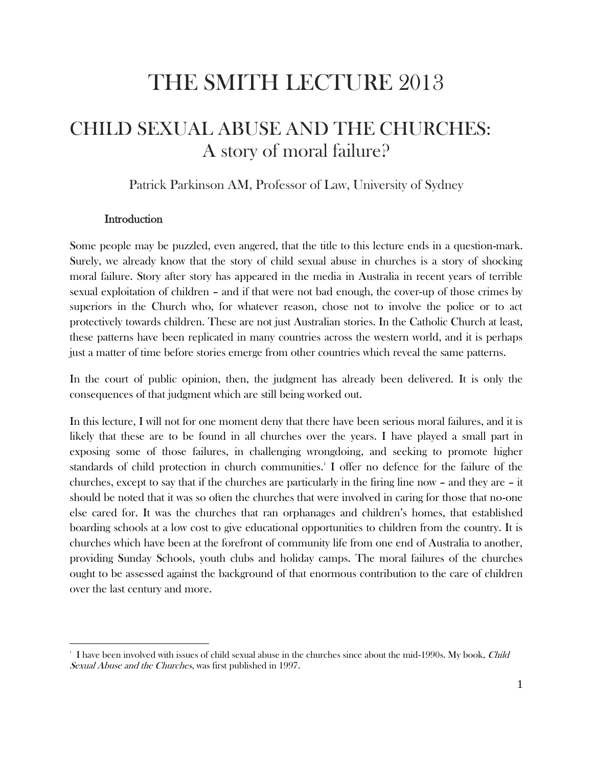# THE SMITH LECTURE 2013

# CHILD SEXUAL ABUSE AND THE CHURCHES: A story of moral failure?

Patrick Parkinson AM, Professor of Law, University of Sydney

#### **Introduction**

 $\overline{a}$ 

Some people may be puzzled, even angered, that the title to this lecture ends in a question-mark. Surely, we already know that the story of child sexual abuse in churches is a story of shocking moral failure. Story after story has appeared in the media in Australia in recent years of terrible sexual exploitation of children – and if that were not bad enough, the cover-up of those crimes by superiors in the Church who, for whatever reason, chose not to involve the police or to act protectively towards children. These are not just Australian stories. In the Catholic Church at least, these patterns have been replicated in many countries across the western world, and it is perhaps just a matter of time before stories emerge from other countries which reveal the same patterns.

In the court of public opinion, then, the judgment has already been delivered. It is only the consequences of that judgment which are still being worked out.

In this lecture, I will not for one moment deny that there have been serious moral failures, and it is likely that these are to be found in all churches over the years. I have played a small part in exposing some of those failures, in challenging wrongdoing, and seeking to promote higher standards of child protection in church communities. 1 I offer no defence for the failure of the churches, except to say that if the churches are particularly in the firing line now – and they are – it should be noted that it was so often the churches that were involved in caring for those that no-one else cared for. It was the churches that ran orphanages and children's homes, that established boarding schools at a low cost to give educational opportunities to children from the country. It is churches which have been at the forefront of community life from one end of Australia to another, providing Sunday Schools, youth clubs and holiday camps. The moral failures of the churches ought to be assessed against the background of that enormous contribution to the care of children over the last century and more.

I have been involved with issues of child sexual abuse in the churches since about the mid-1990s. My book, Child Sexual Abuse and the Churches, was first published in 1997.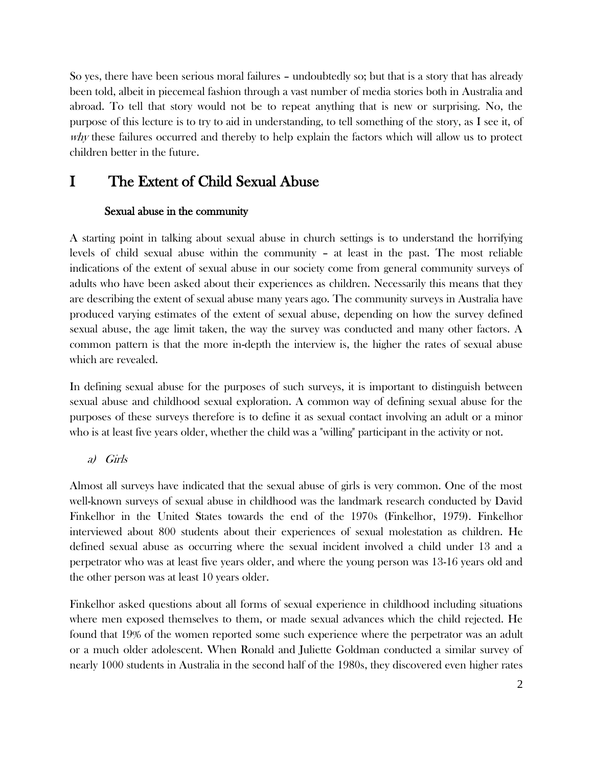So yes, there have been serious moral failures – undoubtedly so; but that is a story that has already been told, albeit in piecemeal fashion through a vast number of media stories both in Australia and abroad. To tell that story would not be to repeat anything that is new or surprising. No, the purpose of this lecture is to try to aid in understanding, to tell something of the story, as I see it, of why these failures occurred and thereby to help explain the factors which will allow us to protect children better in the future.

## I The Extent of Child Sexual Abuse

## Sexual abuse in the community

A starting point in talking about sexual abuse in church settings is to understand the horrifying levels of child sexual abuse within the community – at least in the past. The most reliable indications of the extent of sexual abuse in our society come from general community surveys of adults who have been asked about their experiences as children. Necessarily this means that they are describing the extent of sexual abuse many years ago. The community surveys in Australia have produced varying estimates of the extent of sexual abuse, depending on how the survey defined sexual abuse, the age limit taken, the way the survey was conducted and many other factors. A common pattern is that the more in-depth the interview is, the higher the rates of sexual abuse which are revealed.

In defining sexual abuse for the purposes of such surveys, it is important to distinguish between sexual abuse and childhood sexual exploration. A common way of defining sexual abuse for the purposes of these surveys therefore is to define it as sexual contact involving an adult or a minor who is at least five years older, whether the child was a "willing" participant in the activity or not.

## a) Girls

Almost all surveys have indicated that the sexual abuse of girls is very common. One of the most well-known surveys of sexual abuse in childhood was the landmark research conducted by David Finkelhor in the United States towards the end of the 1970s (Finkelhor, 1979). Finkelhor interviewed about 800 students about their experiences of sexual molestation as children. He defined sexual abuse as occurring where the sexual incident involved a child under 13 and a perpetrator who was at least five years older, and where the young person was 13-16 years old and the other person was at least 10 years older.

Finkelhor asked questions about all forms of sexual experience in childhood including situations where men exposed themselves to them, or made sexual advances which the child rejected. He found that 19% of the women reported some such experience where the perpetrator was an adult or a much older adolescent. When Ronald and Juliette Goldman conducted a similar survey of nearly 1000 students in Australia in the second half of the 1980s, they discovered even higher rates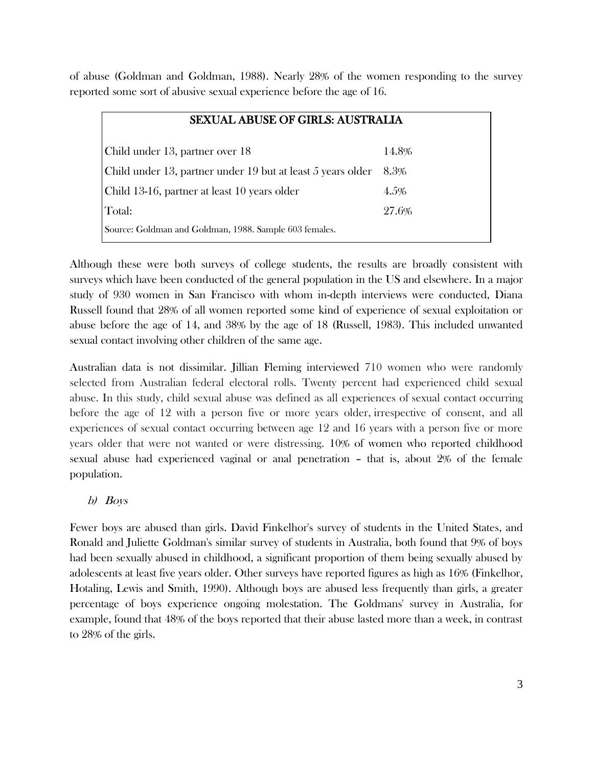of abuse (Goldman and Goldman, 1988). Nearly 28% of the women responding to the survey reported some sort of abusive sexual experience before the age of 16.

| <b>SEXUAL ABUSE OF GIRLS: AUSTRALIA</b>                     |       |
|-------------------------------------------------------------|-------|
| Child under 13, partner over 18                             | 14.8% |
| Child under 13, partner under 19 but at least 5 years older | 8.3%  |
| Child 13-16, partner at least 10 years older                | 4.5%  |
| Total:                                                      | 27.6% |
| Source: Goldman and Goldman, 1988. Sample 603 females.      |       |

Although these were both surveys of college students, the results are broadly consistent with surveys which have been conducted of the general population in the US and elsewhere. In a major study of 930 women in San Francisco with whom in-depth interviews were conducted, Diana Russell found that 28% of all women reported some kind of experience of sexual exploitation or abuse before the age of 14, and 38% by the age of 18 (Russell, 1983). This included unwanted sexual contact involving other children of the same age.

Australian data is not dissimilar. Jillian Fleming interviewed 710 women who were randomly selected from Australian federal electoral rolls. Twenty percent had experienced child sexual abuse. In this study, child sexual abuse was defined as all experiences of sexual contact occurring before the age of 12 with a person five or more years older, irrespective of consent, and all experiences of sexual contact occurring between age 12 and 16 years with a person five or more years older that were not wanted or were distressing. 10% of women who reported childhood sexual abuse had experienced vaginal or anal penetration – that is, about 2% of the female population.

## b) Boys

Fewer boys are abused than girls. David Finkelhor's survey of students in the United States, and Ronald and Juliette Goldman's similar survey of students in Australia, both found that 9% of boys had been sexually abused in childhood, a significant proportion of them being sexually abused by adolescents at least five years older. Other surveys have reported figures as high as 16% (Finkelhor, Hotaling, Lewis and Smith, 1990). Although boys are abused less frequently than girls, a greater percentage of boys experience ongoing molestation. The Goldmans' survey in Australia, for example, found that 48% of the boys reported that their abuse lasted more than a week, in contrast to 28% of the girls.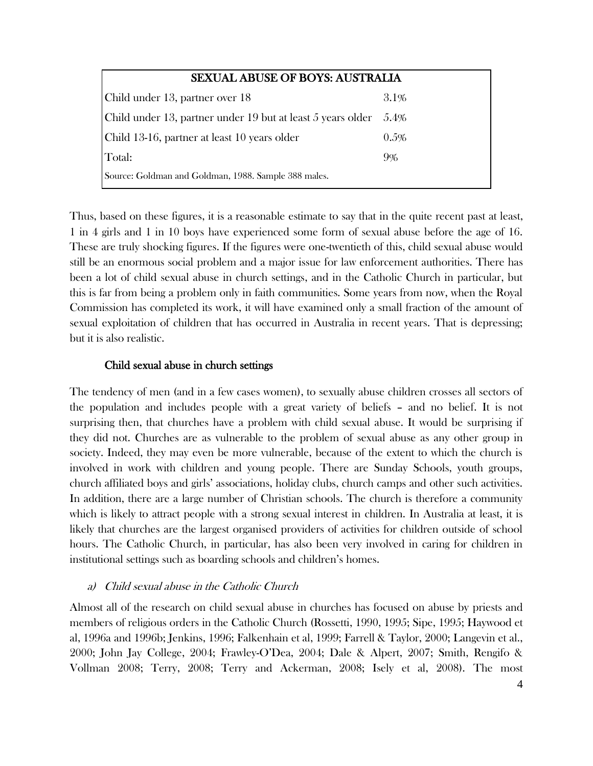| <b>SEXUAL ABUSE OF BOYS: AUSTRALIA</b>                      |         |
|-------------------------------------------------------------|---------|
| Child under 13, partner over 18                             | 3.1%    |
| Child under 13, partner under 19 but at least 5 years older | 5.4%    |
| Child 13-16, partner at least 10 years older                | $0.5\%$ |
| Total:                                                      | 9%      |
| Source: Goldman and Goldman, 1988. Sample 388 males.        |         |

Thus, based on these figures, it is a reasonable estimate to say that in the quite recent past at least, 1 in 4 girls and 1 in 10 boys have experienced some form of sexual abuse before the age of 16. These are truly shocking figures. If the figures were one-twentieth of this, child sexual abuse would still be an enormous social problem and a major issue for law enforcement authorities. There has been a lot of child sexual abuse in church settings, and in the Catholic Church in particular, but this is far from being a problem only in faith communities. Some years from now, when the Royal Commission has completed its work, it will have examined only a small fraction of the amount of sexual exploitation of children that has occurred in Australia in recent years. That is depressing; but it is also realistic.

## Child sexual abuse in church settings

The tendency of men (and in a few cases women), to sexually abuse children crosses all sectors of the population and includes people with a great variety of beliefs – and no belief. It is not surprising then, that churches have a problem with child sexual abuse. It would be surprising if they did not. Churches are as vulnerable to the problem of sexual abuse as any other group in society. Indeed, they may even be more vulnerable, because of the extent to which the church is involved in work with children and young people. There are Sunday Schools, youth groups, church affiliated boys and girls' associations, holiday clubs, church camps and other such activities. In addition, there are a large number of Christian schools. The church is therefore a community which is likely to attract people with a strong sexual interest in children. In Australia at least, it is likely that churches are the largest organised providers of activities for children outside of school hours. The Catholic Church, in particular, has also been very involved in caring for children in institutional settings such as boarding schools and children's homes.

## a) Child sexual abuse in the Catholic Church

Almost all of the research on child sexual abuse in churches has focused on abuse by priests and members of religious orders in the Catholic Church (Rossetti, 1990, 1995; Sipe, 1995; Haywood et al, 1996a and 1996b; Jenkins, 1996; Falkenhain et al, 1999; Farrell & Taylor, 2000; Langevin et al., 2000; John Jay College, 2004; Frawley-O'Dea, 2004; Dale & Alpert, 2007; Smith, Rengifo & Vollman 2008; Terry, 2008; Terry and Ackerman, 2008; Isely et al, 2008). The most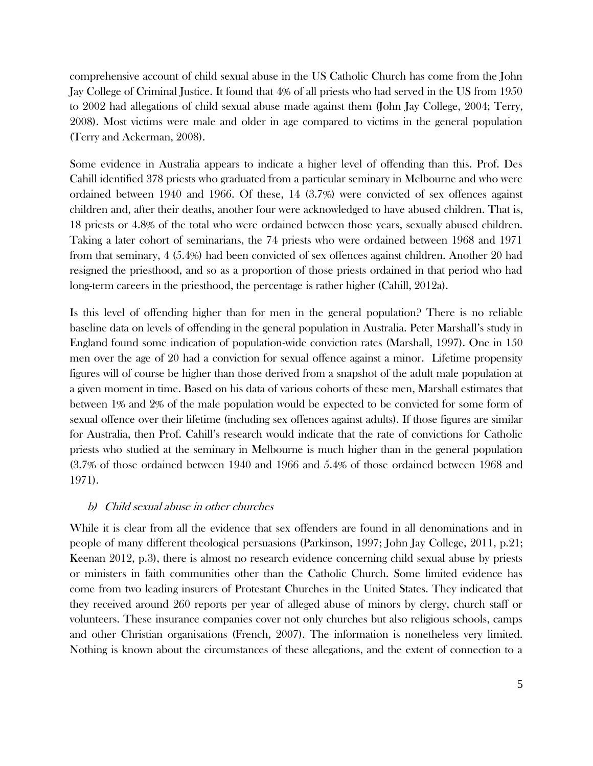comprehensive account of child sexual abuse in the US Catholic Church has come from the John Jay College of Criminal Justice. It found that 4% of all priests who had served in the US from 1950 to 2002 had allegations of child sexual abuse made against them (John Jay College, 2004; Terry, 2008). Most victims were male and older in age compared to victims in the general population (Terry and Ackerman, 2008).

Some evidence in Australia appears to indicate a higher level of offending than this. Prof. Des Cahill identified 378 priests who graduated from a particular seminary in Melbourne and who were ordained between 1940 and 1966. Of these, 14 (3.7%) were convicted of sex offences against children and, after their deaths, another four were acknowledged to have abused children. That is, 18 priests or 4.8% of the total who were ordained between those years, sexually abused children. Taking a later cohort of seminarians, the 74 priests who were ordained between 1968 and 1971 from that seminary, 4 (5.4%) had been convicted of sex offences against children. Another 20 had resigned the priesthood, and so as a proportion of those priests ordained in that period who had long-term careers in the priesthood, the percentage is rather higher (Cahill, 2012a).

Is this level of offending higher than for men in the general population? There is no reliable baseline data on levels of offending in the general population in Australia. Peter Marshall's study in England found some indication of population-wide conviction rates (Marshall, 1997). One in 150 men over the age of 20 had a conviction for sexual offence against a minor. Lifetime propensity figures will of course be higher than those derived from a snapshot of the adult male population at a given moment in time. Based on his data of various cohorts of these men, Marshall estimates that between 1% and 2% of the male population would be expected to be convicted for some form of sexual offence over their lifetime (including sex offences against adults). If those figures are similar for Australia, then Prof. Cahill's research would indicate that the rate of convictions for Catholic priests who studied at the seminary in Melbourne is much higher than in the general population (3.7% of those ordained between 1940 and 1966 and 5.4% of those ordained between 1968 and 1971).

#### b) Child sexual abuse in other churches

While it is clear from all the evidence that sex offenders are found in all denominations and in people of many different theological persuasions (Parkinson, 1997; John Jay College, 2011, p.21; Keenan 2012, p.3), there is almost no research evidence concerning child sexual abuse by priests or ministers in faith communities other than the Catholic Church. Some limited evidence has come from two leading insurers of Protestant Churches in the United States. They indicated that they received around 260 reports per year of alleged abuse of minors by clergy, church staff or volunteers. These insurance companies cover not only churches but also religious schools, camps and other Christian organisations (French, 2007). The information is nonetheless very limited. Nothing is known about the circumstances of these allegations, and the extent of connection to a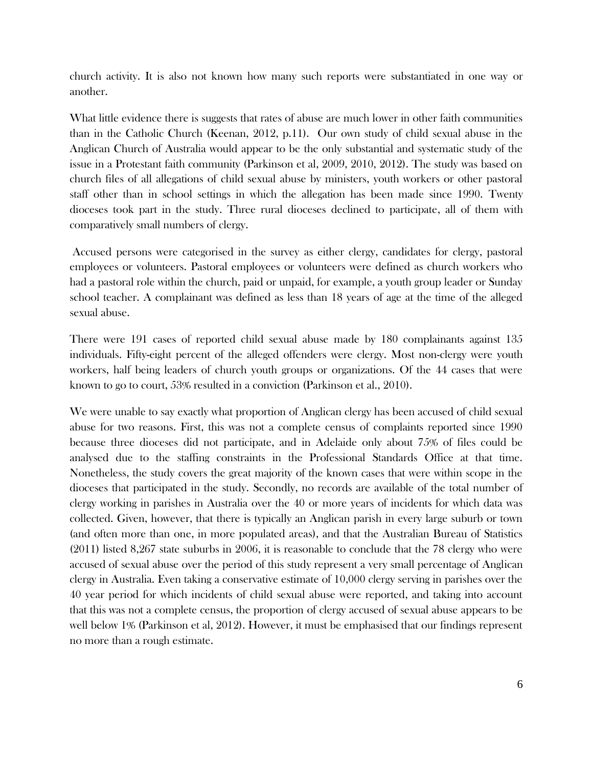church activity. It is also not known how many such reports were substantiated in one way or another.

What little evidence there is suggests that rates of abuse are much lower in other faith communities than in the Catholic Church (Keenan, 2012, p.11). Our own study of child sexual abuse in the Anglican Church of Australia would appear to be the only substantial and systematic study of the issue in a Protestant faith community (Parkinson et al, 2009, 2010, 2012). The study was based on church files of all allegations of child sexual abuse by ministers, youth workers or other pastoral staff other than in school settings in which the allegation has been made since 1990. Twenty dioceses took part in the study. Three rural dioceses declined to participate, all of them with comparatively small numbers of clergy.

Accused persons were categorised in the survey as either clergy, candidates for clergy, pastoral employees or volunteers. Pastoral employees or volunteers were defined as church workers who had a pastoral role within the church, paid or unpaid, for example, a youth group leader or Sunday school teacher. A complainant was defined as less than 18 years of age at the time of the alleged sexual abuse.

There were 191 cases of reported child sexual abuse made by 180 complainants against 135 individuals. Fifty-eight percent of the alleged offenders were clergy. Most non-clergy were youth workers, half being leaders of church youth groups or organizations. Of the 44 cases that were known to go to court, 53% resulted in a conviction (Parkinson et al., 2010).

We were unable to say exactly what proportion of Anglican clergy has been accused of child sexual abuse for two reasons. First, this was not a complete census of complaints reported since 1990 because three dioceses did not participate, and in Adelaide only about 75% of files could be analysed due to the staffing constraints in the Professional Standards Office at that time. Nonetheless, the study covers the great majority of the known cases that were within scope in the dioceses that participated in the study. Secondly, no records are available of the total number of clergy working in parishes in Australia over the 40 or more years of incidents for which data was collected. Given, however, that there is typically an Anglican parish in every large suburb or town (and often more than one, in more populated areas), and that the Australian Bureau of Statistics (2011) listed 8,267 state suburbs in 2006, it is reasonable to conclude that the 78 clergy who were accused of sexual abuse over the period of this study represent a very small percentage of Anglican clergy in Australia. Even taking a conservative estimate of 10,000 clergy serving in parishes over the 40 year period for which incidents of child sexual abuse were reported, and taking into account that this was not a complete census, the proportion of clergy accused of sexual abuse appears to be well below 1% (Parkinson et al, 2012). However, it must be emphasised that our findings represent no more than a rough estimate.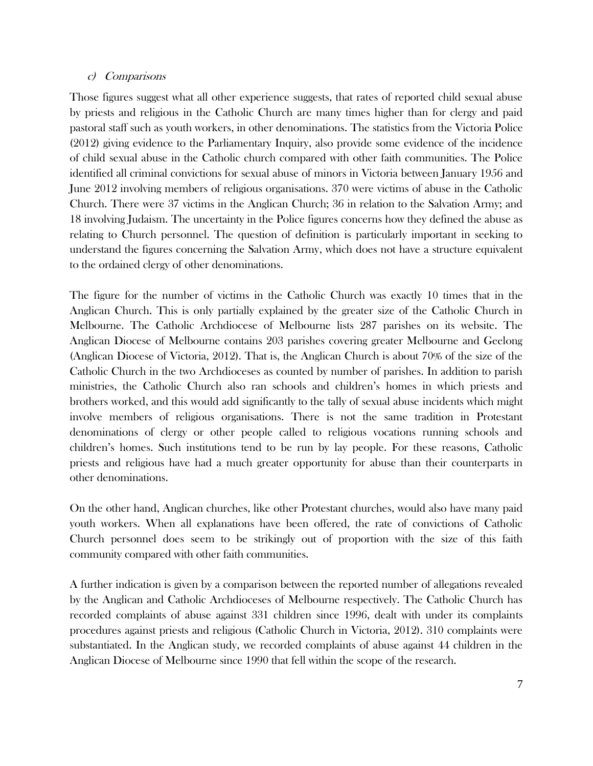#### c) Comparisons

Those figures suggest what all other experience suggests, that rates of reported child sexual abuse by priests and religious in the Catholic Church are many times higher than for clergy and paid pastoral staff such as youth workers, in other denominations. The statistics from the Victoria Police (2012) giving evidence to the Parliamentary Inquiry, also provide some evidence of the incidence of child sexual abuse in the Catholic church compared with other faith communities. The Police identified all criminal convictions for sexual abuse of minors in Victoria between January 1956 and June 2012 involving members of religious organisations. 370 were victims of abuse in the Catholic Church. There were 37 victims in the Anglican Church; 36 in relation to the Salvation Army; and 18 involving Judaism. The uncertainty in the Police figures concerns how they defined the abuse as relating to Church personnel. The question of definition is particularly important in seeking to understand the figures concerning the Salvation Army, which does not have a structure equivalent to the ordained clergy of other denominations.

The figure for the number of victims in the Catholic Church was exactly 10 times that in the Anglican Church. This is only partially explained by the greater size of the Catholic Church in Melbourne. The Catholic Archdiocese of Melbourne lists 287 parishes on its website. The Anglican Diocese of Melbourne contains 203 parishes covering greater Melbourne and Geelong (Anglican Diocese of Victoria, 2012). That is, the Anglican Church is about 70% of the size of the Catholic Church in the two Archdioceses as counted by number of parishes. In addition to parish ministries, the Catholic Church also ran schools and children's homes in which priests and brothers worked, and this would add significantly to the tally of sexual abuse incidents which might involve members of religious organisations. There is not the same tradition in Protestant denominations of clergy or other people called to religious vocations running schools and children's homes. Such institutions tend to be run by lay people. For these reasons, Catholic priests and religious have had a much greater opportunity for abuse than their counterparts in other denominations.

On the other hand, Anglican churches, like other Protestant churches, would also have many paid youth workers. When all explanations have been offered, the rate of convictions of Catholic Church personnel does seem to be strikingly out of proportion with the size of this faith community compared with other faith communities.

A further indication is given by a comparison between the reported number of allegations revealed by the Anglican and Catholic Archdioceses of Melbourne respectively. The Catholic Church has recorded complaints of abuse against 331 children since 1996, dealt with under its complaints procedures against priests and religious (Catholic Church in Victoria, 2012). 310 complaints were substantiated. In the Anglican study, we recorded complaints of abuse against 44 children in the Anglican Diocese of Melbourne since 1990 that fell within the scope of the research.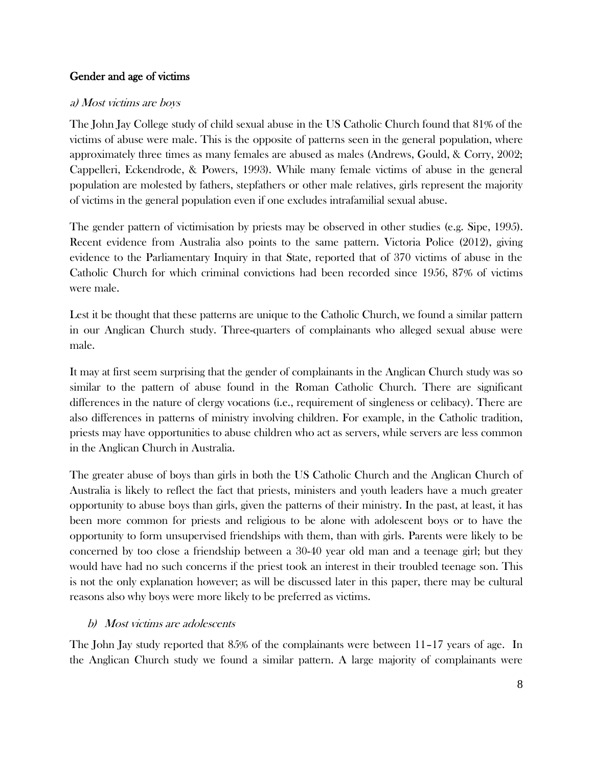## Gender and age of victims

### a) Most victims are boys

The John Jay College study of child sexual abuse in the US Catholic Church found that 81% of the victims of abuse were male. This is the opposite of patterns seen in the general population, where approximately three times as many females are abused as males (Andrews, Gould, & Corry, 2002; Cappelleri, Eckendrode, & Powers, 1993). While many female victims of abuse in the general population are molested by fathers, stepfathers or other male relatives, girls represent the majority of victims in the general population even if one excludes intrafamilial sexual abuse.

The gender pattern of victimisation by priests may be observed in other studies (e.g. Sipe, 1995). Recent evidence from Australia also points to the same pattern. Victoria Police (2012), giving evidence to the Parliamentary Inquiry in that State, reported that of 370 victims of abuse in the Catholic Church for which criminal convictions had been recorded since 1956, 87% of victims were male.

Lest it be thought that these patterns are unique to the Catholic Church, we found a similar pattern in our Anglican Church study. Three-quarters of complainants who alleged sexual abuse were male.

It may at first seem surprising that the gender of complainants in the Anglican Church study was so similar to the pattern of abuse found in the Roman Catholic Church. There are significant differences in the nature of clergy vocations (i.e., requirement of singleness or celibacy). There are also differences in patterns of ministry involving children. For example, in the Catholic tradition, priests may have opportunities to abuse children who act as servers, while servers are less common in the Anglican Church in Australia.

The greater abuse of boys than girls in both the US Catholic Church and the Anglican Church of Australia is likely to reflect the fact that priests, ministers and youth leaders have a much greater opportunity to abuse boys than girls, given the patterns of their ministry. In the past, at least, it has been more common for priests and religious to be alone with adolescent boys or to have the opportunity to form unsupervised friendships with them, than with girls. Parents were likely to be concerned by too close a friendship between a 30-40 year old man and a teenage girl; but they would have had no such concerns if the priest took an interest in their troubled teenage son. This is not the only explanation however; as will be discussed later in this paper, there may be cultural reasons also why boys were more likely to be preferred as victims.

## b) Most victims are adolescents

The John Jay study reported that 85% of the complainants were between 11–17 years of age. In the Anglican Church study we found a similar pattern. A large majority of complainants were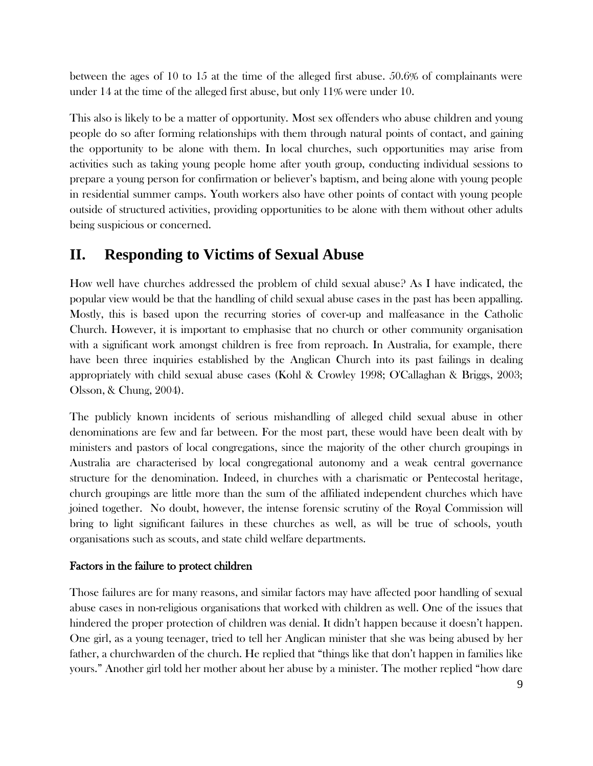between the ages of 10 to 15 at the time of the alleged first abuse. 50.6% of complainants were under 14 at the time of the alleged first abuse, but only 11% were under 10.

This also is likely to be a matter of opportunity. Most sex offenders who abuse children and young people do so after forming relationships with them through natural points of contact, and gaining the opportunity to be alone with them. In local churches, such opportunities may arise from activities such as taking young people home after youth group, conducting individual sessions to prepare a young person for confirmation or believer's baptism, and being alone with young people in residential summer camps. Youth workers also have other points of contact with young people outside of structured activities, providing opportunities to be alone with them without other adults being suspicious or concerned.

## **II. Responding to Victims of Sexual Abuse**

How well have churches addressed the problem of child sexual abuse? As I have indicated, the popular view would be that the handling of child sexual abuse cases in the past has been appalling. Mostly, this is based upon the recurring stories of cover-up and malfeasance in the Catholic Church. However, it is important to emphasise that no church or other community organisation with a significant work amongst children is free from reproach. In Australia, for example, there have been three inquiries established by the Anglican Church into its past failings in dealing appropriately with child sexual abuse cases (Kohl & Crowley 1998; O'Callaghan & Briggs, 2003; Olsson, & Chung, 2004).

The publicly known incidents of serious mishandling of alleged child sexual abuse in other denominations are few and far between. For the most part, these would have been dealt with by ministers and pastors of local congregations, since the majority of the other church groupings in Australia are characterised by local congregational autonomy and a weak central governance structure for the denomination. Indeed, in churches with a charismatic or Pentecostal heritage, church groupings are little more than the sum of the affiliated independent churches which have joined together. No doubt, however, the intense forensic scrutiny of the Royal Commission will bring to light significant failures in these churches as well, as will be true of schools, youth organisations such as scouts, and state child welfare departments.

## Factors in the failure to protect children

Those failures are for many reasons, and similar factors may have affected poor handling of sexual abuse cases in non-religious organisations that worked with children as well. One of the issues that hindered the proper protection of children was denial. It didn't happen because it doesn't happen. One girl, as a young teenager, tried to tell her Anglican minister that she was being abused by her father, a churchwarden of the church. He replied that "things like that don't happen in families like yours." Another girl told her mother about her abuse by a minister. The mother replied "how dare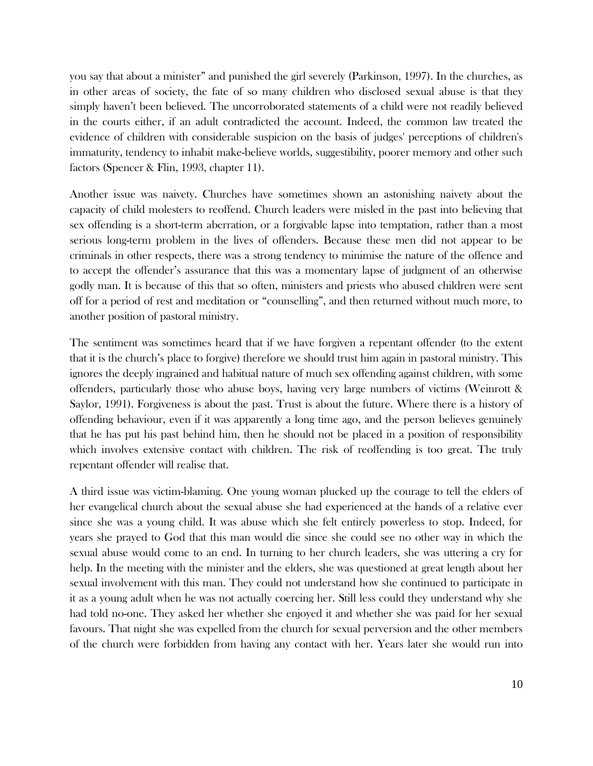you say that about a minister" and punished the girl severely (Parkinson, 1997). In the churches, as in other areas of society, the fate of so many children who disclosed sexual abuse is that they simply haven't been believed. The uncorroborated statements of a child were not readily believed in the courts either, if an adult contradicted the account. Indeed, the common law treated the evidence of children with considerable suspicion on the basis of judges' perceptions of children's immaturity, tendency to inhabit make-believe worlds, suggestibility, poorer memory and other such factors (Spencer & Flin, 1993, chapter 11).

Another issue was naivety. Churches have sometimes shown an astonishing naivety about the capacity of child molesters to reoffend. Church leaders were misled in the past into believing that sex offending is a short-term aberration, or a forgivable lapse into temptation, rather than a most serious long-term problem in the lives of offenders. Because these men did not appear to be criminals in other respects, there was a strong tendency to minimise the nature of the offence and to accept the offender's assurance that this was a momentary lapse of judgment of an otherwise godly man. It is because of this that so often, ministers and priests who abused children were sent off for a period of rest and meditation or "counselling", and then returned without much more, to another position of pastoral ministry.

The sentiment was sometimes heard that if we have forgiven a repentant offender (to the extent that it is the church's place to forgive) therefore we should trust him again in pastoral ministry. This ignores the deeply ingrained and habitual nature of much sex offending against children, with some offenders, particularly those who abuse boys, having very large numbers of victims (Weinrott & Saylor, 1991). Forgiveness is about the past. Trust is about the future. Where there is a history of offending behaviour, even if it was apparently a long time ago, and the person believes genuinely that he has put his past behind him, then he should not be placed in a position of responsibility which involves extensive contact with children. The risk of reoffending is too great. The truly repentant offender will realise that.

A third issue was victim-blaming. One young woman plucked up the courage to tell the elders of her evangelical church about the sexual abuse she had experienced at the hands of a relative ever since she was a young child. It was abuse which she felt entirely powerless to stop. Indeed, for years she prayed to God that this man would die since she could see no other way in which the sexual abuse would come to an end. In turning to her church leaders, she was uttering a cry for help. In the meeting with the minister and the elders, she was questioned at great length about her sexual involvement with this man. They could not understand how she continued to participate in it as a young adult when he was not actually coercing her. Still less could they understand why she had told no-one. They asked her whether she enjoyed it and whether she was paid for her sexual favours. That night she was expelled from the church for sexual perversion and the other members of the church were forbidden from having any contact with her. Years later she would run into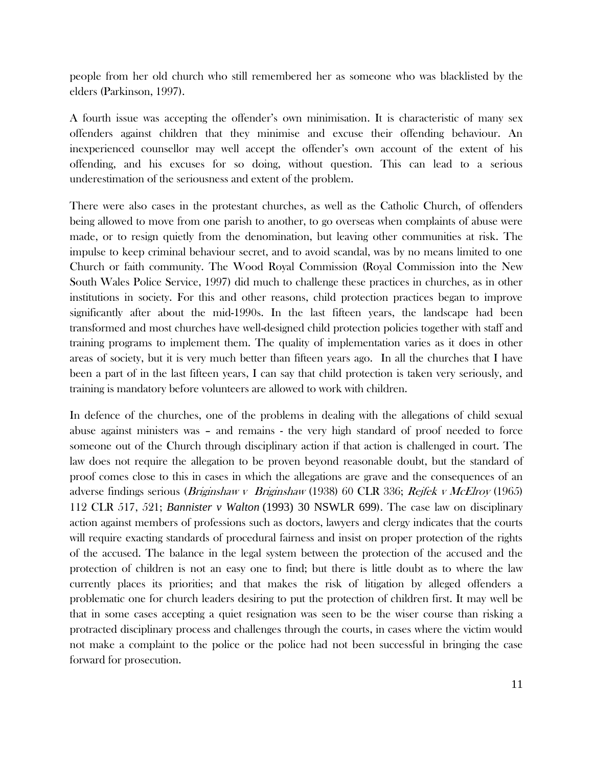people from her old church who still remembered her as someone who was blacklisted by the elders (Parkinson, 1997).

A fourth issue was accepting the offender's own minimisation. It is characteristic of many sex offenders against children that they minimise and excuse their offending behaviour. An inexperienced counsellor may well accept the offender's own account of the extent of his offending, and his excuses for so doing, without question. This can lead to a serious underestimation of the seriousness and extent of the problem.

There were also cases in the protestant churches, as well as the Catholic Church, of offenders being allowed to move from one parish to another, to go overseas when complaints of abuse were made, or to resign quietly from the denomination, but leaving other communities at risk. The impulse to keep criminal behaviour secret, and to avoid scandal, was by no means limited to one Church or faith community. The Wood Royal Commission (Royal Commission into the New South Wales Police Service, 1997) did much to challenge these practices in churches, as in other institutions in society. For this and other reasons, child protection practices began to improve significantly after about the mid-1990s. In the last fifteen years, the landscape had been transformed and most churches have well-designed child protection policies together with staff and training programs to implement them. The quality of implementation varies as it does in other areas of society, but it is very much better than fifteen years ago. In all the churches that I have been a part of in the last fifteen years, I can say that child protection is taken very seriously, and training is mandatory before volunteers are allowed to work with children.

In defence of the churches, one of the problems in dealing with the allegations of child sexual abuse against ministers was – and remains - the very high standard of proof needed to force someone out of the Church through disciplinary action if that action is challenged in court. The law does not require the allegation to be proven beyond reasonable doubt, but the standard of proof comes close to this in cases in which the allegations are grave and the consequences of an adverse findings serious (Briginshaw v Briginshaw (1938) 60 CLR 336; Rejfek v McElroy (1965) 112 CLR 517, 521; *Bannister v Walton* [\(1993\) 30 NSWLR 699](http://www.austlii.edu.au/cgi-bin/LawCite?cit=%281993%29%2030%20NSWLR%20699?stem=0&synonyms=0&query=bannister%20v%20walton)). The case law on disciplinary action against members of professions such as doctors, lawyers and clergy indicates that the courts will require exacting standards of procedural fairness and insist on proper protection of the rights of the accused. The balance in the legal system between the protection of the accused and the protection of children is not an easy one to find; but there is little doubt as to where the law currently places its priorities; and that makes the risk of litigation by alleged offenders a problematic one for church leaders desiring to put the protection of children first. It may well be that in some cases accepting a quiet resignation was seen to be the wiser course than risking a protracted disciplinary process and challenges through the courts, in cases where the victim would not make a complaint to the police or the police had not been successful in bringing the case forward for prosecution.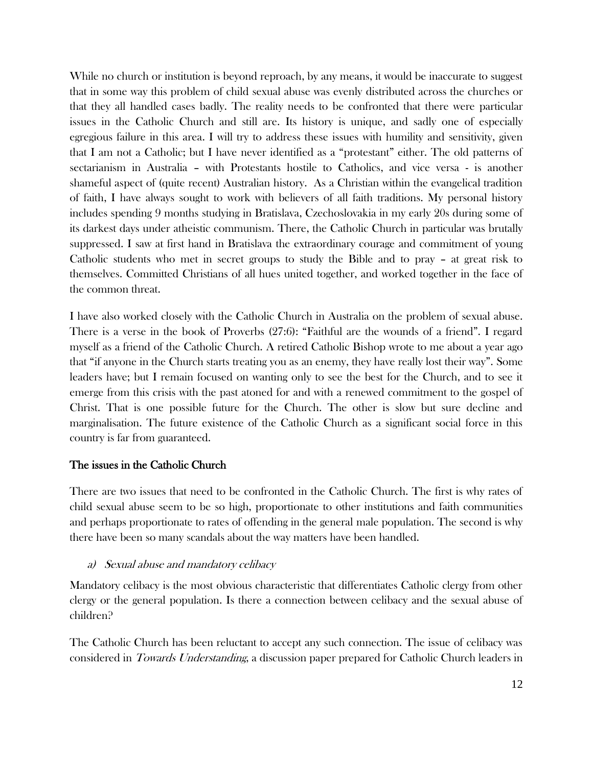While no church or institution is beyond reproach, by any means, it would be inaccurate to suggest that in some way this problem of child sexual abuse was evenly distributed across the churches or that they all handled cases badly. The reality needs to be confronted that there were particular issues in the Catholic Church and still are. Its history is unique, and sadly one of especially egregious failure in this area. I will try to address these issues with humility and sensitivity, given that I am not a Catholic; but I have never identified as a "protestant" either. The old patterns of sectarianism in Australia – with Protestants hostile to Catholics, and vice versa - is another shameful aspect of (quite recent) Australian history. As a Christian within the evangelical tradition of faith, I have always sought to work with believers of all faith traditions. My personal history includes spending 9 months studying in Bratislava, Czechoslovakia in my early 20s during some of its darkest days under atheistic communism. There, the Catholic Church in particular was brutally suppressed. I saw at first hand in Bratislava the extraordinary courage and commitment of young Catholic students who met in secret groups to study the Bible and to pray – at great risk to themselves. Committed Christians of all hues united together, and worked together in the face of the common threat.

I have also worked closely with the Catholic Church in Australia on the problem of sexual abuse. There is a verse in the book of Proverbs (27:6): "Faithful are the wounds of a friend". I regard myself as a friend of the Catholic Church. A retired Catholic Bishop wrote to me about a year ago that "if anyone in the Church starts treating you as an enemy, they have really lost their way". Some leaders have; but I remain focused on wanting only to see the best for the Church, and to see it emerge from this crisis with the past atoned for and with a renewed commitment to the gospel of Christ. That is one possible future for the Church. The other is slow but sure decline and marginalisation. The future existence of the Catholic Church as a significant social force in this country is far from guaranteed.

## The issues in the Catholic Church

There are two issues that need to be confronted in the Catholic Church. The first is why rates of child sexual abuse seem to be so high, proportionate to other institutions and faith communities and perhaps proportionate to rates of offending in the general male population. The second is why there have been so many scandals about the way matters have been handled.

## a) Sexual abuse and mandatory celibacy

Mandatory celibacy is the most obvious characteristic that differentiates Catholic clergy from other clergy or the general population. Is there a connection between celibacy and the sexual abuse of children?

The Catholic Church has been reluctant to accept any such connection. The issue of celibacy was considered in Towards Understanding, a discussion paper prepared for Catholic Church leaders in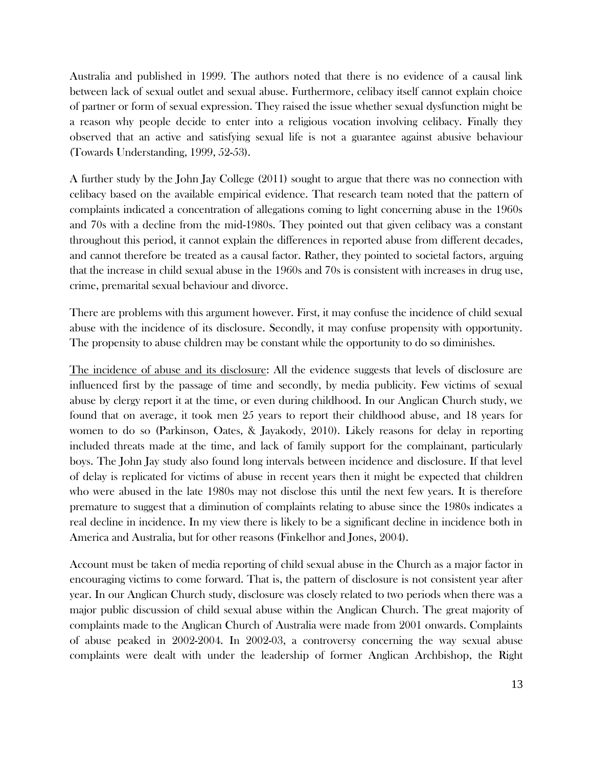Australia and published in 1999. The authors noted that there is no evidence of a causal link between lack of sexual outlet and sexual abuse. Furthermore, celibacy itself cannot explain choice of partner or form of sexual expression. They raised the issue whether sexual dysfunction might be a reason why people decide to enter into a religious vocation involving celibacy. Finally they observed that an active and satisfying sexual life is not a guarantee against abusive behaviour (Towards Understanding, 1999, 52-53).

A further study by the John Jay College (2011) sought to argue that there was no connection with celibacy based on the available empirical evidence. That research team noted that the pattern of complaints indicated a concentration of allegations coming to light concerning abuse in the 1960s and 70s with a decline from the mid-1980s. They pointed out that given celibacy was a constant throughout this period, it cannot explain the differences in reported abuse from different decades, and cannot therefore be treated as a causal factor. Rather, they pointed to societal factors, arguing that the increase in child sexual abuse in the 1960s and 70s is consistent with increases in drug use, crime, premarital sexual behaviour and divorce.

There are problems with this argument however. First, it may confuse the incidence of child sexual abuse with the incidence of its disclosure. Secondly, it may confuse propensity with opportunity. The propensity to abuse children may be constant while the opportunity to do so diminishes.

The incidence of abuse and its disclosure: All the evidence suggests that levels of disclosure are influenced first by the passage of time and secondly, by media publicity. Few victims of sexual abuse by clergy report it at the time, or even during childhood. In our Anglican Church study, we found that on average, it took men 25 years to report their childhood abuse, and 18 years for women to do so (Parkinson, Oates, & Jayakody, 2010). Likely reasons for delay in reporting included threats made at the time, and lack of family support for the complainant, particularly boys. The John Jay study also found long intervals between incidence and disclosure. If that level of delay is replicated for victims of abuse in recent years then it might be expected that children who were abused in the late 1980s may not disclose this until the next few years. It is therefore premature to suggest that a diminution of complaints relating to abuse since the 1980s indicates a real decline in incidence. In my view there is likely to be a significant decline in incidence both in America and Australia, but for other reasons (Finkelhor and Jones, 2004).

Account must be taken of media reporting of child sexual abuse in the Church as a major factor in encouraging victims to come forward. That is, the pattern of disclosure is not consistent year after year. In our Anglican Church study, disclosure was closely related to two periods when there was a major public discussion of child sexual abuse within the Anglican Church. The great majority of complaints made to the Anglican Church of Australia were made from 2001 onwards. Complaints of abuse peaked in 2002-2004. In 2002-03, a controversy concerning the way sexual abuse complaints were dealt with under the leadership of former Anglican Archbishop, the Right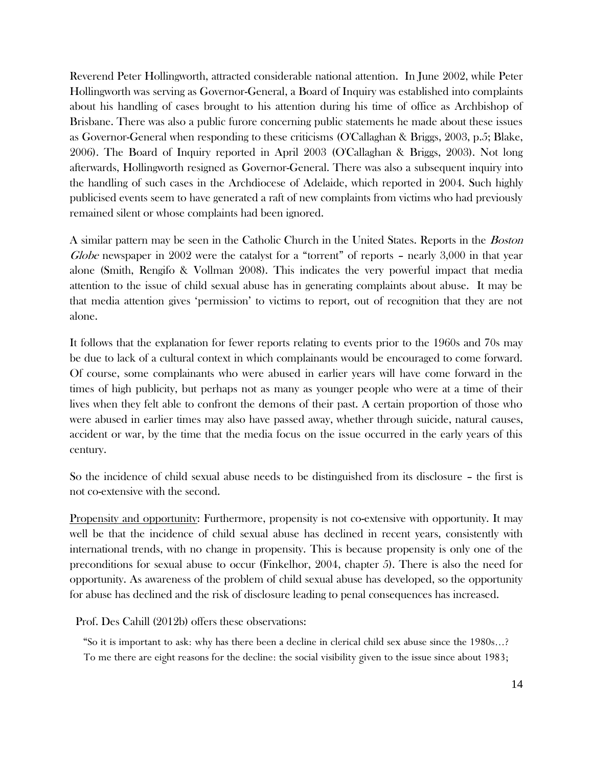Reverend Peter Hollingworth, attracted considerable national attention. In June 2002, while Peter Hollingworth was serving as Governor-General, a Board of Inquiry was established into complaints about his handling of cases brought to his attention during his time of office as Archbishop of Brisbane. There was also a public furore concerning public statements he made about these issues as Governor-General when responding to these criticisms (O'Callaghan & Briggs, 2003, p.5; Blake, 2006). The Board of Inquiry reported in April 2003 (O'Callaghan & Briggs, 2003). Not long afterwards, Hollingworth resigned as Governor-General. There was also a subsequent inquiry into the handling of such cases in the Archdiocese of Adelaide, which reported in 2004. Such highly publicised events seem to have generated a raft of new complaints from victims who had previously remained silent or whose complaints had been ignored.

A similar pattern may be seen in the Catholic Church in the United States. Reports in the Boston Globe newspaper in 2002 were the catalyst for a "torrent" of reports – nearly 3,000 in that year alone (Smith, Rengifo & Vollman 2008). This indicates the very powerful impact that media attention to the issue of child sexual abuse has in generating complaints about abuse. It may be that media attention gives 'permission' to victims to report, out of recognition that they are not alone.

It follows that the explanation for fewer reports relating to events prior to the 1960s and 70s may be due to lack of a cultural context in which complainants would be encouraged to come forward. Of course, some complainants who were abused in earlier years will have come forward in the times of high publicity, but perhaps not as many as younger people who were at a time of their lives when they felt able to confront the demons of their past. A certain proportion of those who were abused in earlier times may also have passed away, whether through suicide, natural causes, accident or war, by the time that the media focus on the issue occurred in the early years of this century.

So the incidence of child sexual abuse needs to be distinguished from its disclosure – the first is not co-extensive with the second.

Propensity and opportunity: Furthermore, propensity is not co-extensive with opportunity. It may well be that the incidence of child sexual abuse has declined in recent years, consistently with international trends, with no change in propensity. This is because propensity is only one of the preconditions for sexual abuse to occur (Finkelhor, 2004, chapter 5). There is also the need for opportunity. As awareness of the problem of child sexual abuse has developed, so the opportunity for abuse has declined and the risk of disclosure leading to penal consequences has increased.

Prof. Des Cahill (2012b) offers these observations:

"So it is important to ask: why has there been a decline in clerical child sex abuse since the 1980s...? To me there are eight reasons for the decline: the social visibility given to the issue since about 1983;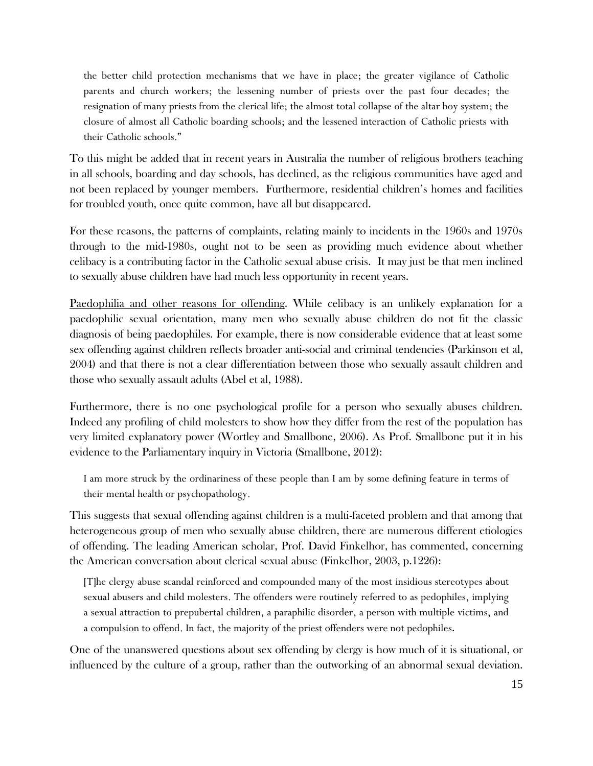the better child protection mechanisms that we have in place; the greater vigilance of Catholic parents and church workers; the lessening number of priests over the past four decades; the resignation of many priests from the clerical life; the almost total collapse of the altar boy system; the closure of almost all Catholic boarding schools; and the lessened interaction of Catholic priests with their Catholic schools."

To this might be added that in recent years in Australia the number of religious brothers teaching in all schools, boarding and day schools, has declined, as the religious communities have aged and not been replaced by younger members. Furthermore, residential children's homes and facilities for troubled youth, once quite common, have all but disappeared.

For these reasons, the patterns of complaints, relating mainly to incidents in the 1960s and 1970s through to the mid-1980s, ought not to be seen as providing much evidence about whether celibacy is a contributing factor in the Catholic sexual abuse crisis. It may just be that men inclined to sexually abuse children have had much less opportunity in recent years.

Paedophilia and other reasons for offending. While celibacy is an unlikely explanation for a paedophilic sexual orientation, many men who sexually abuse children do not fit the classic diagnosis of being paedophiles. For example, there is now considerable evidence that at least some sex offending against children reflects broader anti-social and criminal tendencies (Parkinson et al, 2004) and that there is not a clear differentiation between those who sexually assault children and those who sexually assault adults (Abel et al, 1988).

Furthermore, there is no one psychological profile for a person who sexually abuses children. Indeed any profiling of child molesters to show how they differ from the rest of the population has very limited explanatory power (Wortley and Smallbone, 2006). As Prof. Smallbone put it in his evidence to the Parliamentary inquiry in Victoria (Smallbone, 2012):

I am more struck by the ordinariness of these people than I am by some defining feature in terms of their mental health or psychopathology.

This suggests that sexual offending against children is a multi-faceted problem and that among that heterogeneous group of men who sexually abuse children, there are numerous different etiologies of offending. The leading American scholar, Prof. David Finkelhor, has commented, concerning the American conversation about clerical sexual abuse (Finkelhor, 2003, p.1226):

[T]he clergy abuse scandal reinforced and compounded many of the most insidious stereotypes about sexual abusers and child molesters. The offenders were routinely referred to as pedophiles, implying a sexual attraction to prepubertal children, a paraphilic disorder, a person with multiple victims, and a compulsion to offend. In fact, the majority of the priest offenders were not pedophiles.

One of the unanswered questions about sex offending by clergy is how much of it is situational, or influenced by the culture of a group, rather than the outworking of an abnormal sexual deviation.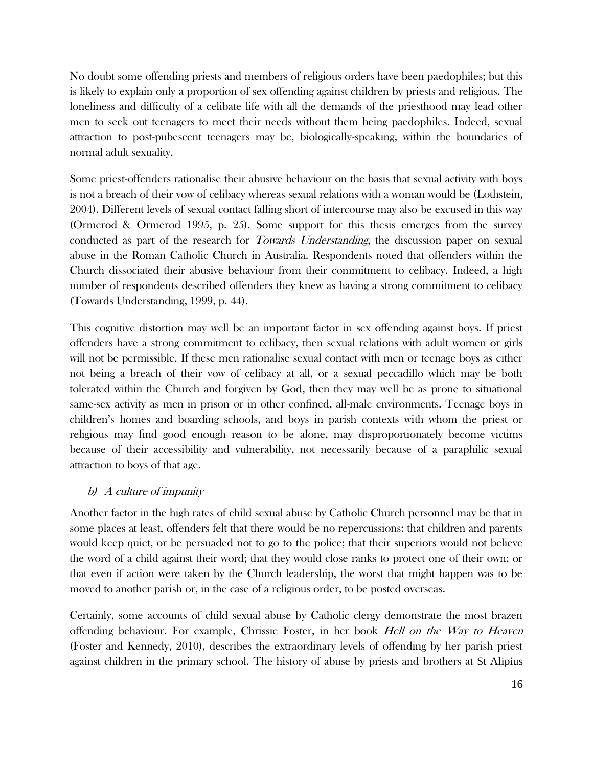No doubt some offending priests and members of religious orders have been paedophiles; but this is likely to explain only a proportion of sex offending against children by priests and religious. The loneliness and difficulty of a celibate life with all the demands of the priesthood may lead other men to seek out teenagers to meet their needs without them being paedophiles. Indeed, sexual attraction to post-pubescent teenagers may be, biologically-speaking, within the boundaries of normal adult sexuality.

Some priest-offenders rationalise their abusive behaviour on the basis that sexual activity with boys is not a breach of their vow of celibacy whereas sexual relations with a woman would be (Lothstein, 2004). Different levels of sexual contact falling short of intercourse may also be excused in this way (Ormerod & Ormerod 1995, p. 25). Some support for this thesis emerges from the survey conducted as part of the research for Towards Understanding, the discussion paper on sexual abuse in the Roman Catholic Church in Australia. Respondents noted that offenders within the Church dissociated their abusive behaviour from their commitment to celibacy. Indeed, a high number of respondents described offenders they knew as having a strong commitment to celibacy (Towards Understanding, 1999, p. 44).

This cognitive distortion may well be an important factor in sex offending against boys. If priest offenders have a strong commitment to celibacy, then sexual relations with adult women or girls will not be permissible. If these men rationalise sexual contact with men or teenage boys as either not being a breach of their vow of celibacy at all, or a sexual peccadillo which may be both tolerated within the Church and forgiven by God, then they may well be as prone to situational same-sex activity as men in prison or in other confined, all-male environments. Teenage boys in children's homes and boarding schools, and boys in parish contexts with whom the priest or religious may find good enough reason to be alone, may disproportionately become victims because of their accessibility and vulnerability, not necessarily because of a paraphilic sexual attraction to boys of that age.

## b) A culture of impunity

Another factor in the high rates of child sexual abuse by Catholic Church personnel may be that in some places at least, offenders felt that there would be no repercussions: that children and parents would keep quiet, or be persuaded not to go to the police; that their superiors would not believe the word of a child against their word; that they would close ranks to protect one of their own; or that even if action were taken by the Church leadership, the worst that might happen was to be moved to another parish or, in the case of a religious order, to be posted overseas.

Certainly, some accounts of child sexual abuse by Catholic clergy demonstrate the most brazen offending behaviour. For example, Chrissie Foster, in her book Hell on the Way to Heaven (Foster and Kennedy, 2010), describes the extraordinary levels of offending by her parish priest against children in the primary school. The history of abuse by priests and brothers at St Alipius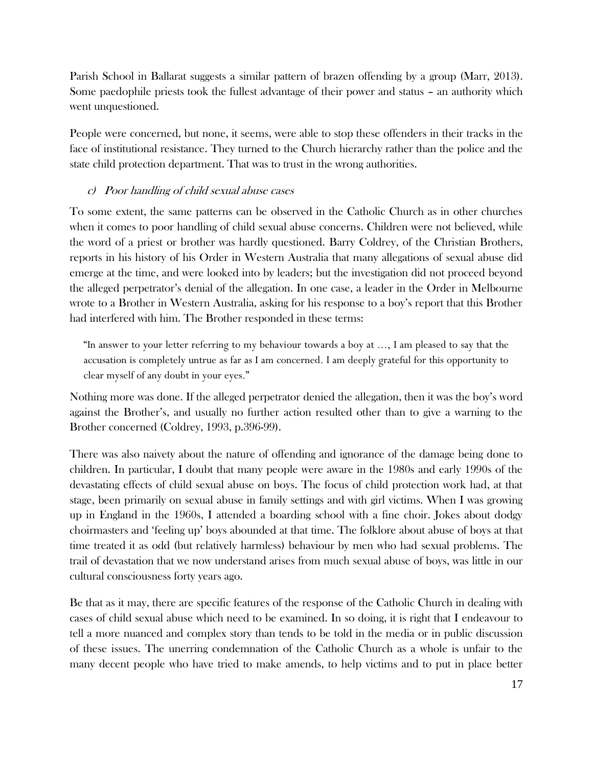Parish School in Ballarat suggests a similar pattern of brazen offending by a group (Marr, 2013). Some paedophile priests took the fullest advantage of their power and status – an authority which went unquestioned.

People were concerned, but none, it seems, were able to stop these offenders in their tracks in the face of institutional resistance. They turned to the Church hierarchy rather than the police and the state child protection department. That was to trust in the wrong authorities.

## c) Poor handling of child sexual abuse cases

To some extent, the same patterns can be observed in the Catholic Church as in other churches when it comes to poor handling of child sexual abuse concerns. Children were not believed, while the word of a priest or brother was hardly questioned. Barry Coldrey, of the Christian Brothers, reports in his history of his Order in Western Australia that many allegations of sexual abuse did emerge at the time, and were looked into by leaders; but the investigation did not proceed beyond the alleged perpetrator's denial of the allegation. In one case, a leader in the Order in Melbourne wrote to a Brother in Western Australia, asking for his response to a boy's report that this Brother had interfered with him. The Brother responded in these terms:

"In answer to your letter referring to my behaviour towards a boy at ..., I am pleased to say that the accusation is completely untrue as far as I am concerned. I am deeply grateful for this opportunity to clear myself of any doubt in your eyes."

Nothing more was done. If the alleged perpetrator denied the allegation, then it was the boy's word against the Brother's, and usually no further action resulted other than to give a warning to the Brother concerned (Coldrey, 1993, p.396-99).

There was also naivety about the nature of offending and ignorance of the damage being done to children. In particular, I doubt that many people were aware in the 1980s and early 1990s of the devastating effects of child sexual abuse on boys. The focus of child protection work had, at that stage, been primarily on sexual abuse in family settings and with girl victims. When I was growing up in England in the 1960s, I attended a boarding school with a fine choir. Jokes about dodgy choirmasters and 'feeling up' boys abounded at that time. The folklore about abuse of boys at that time treated it as odd (but relatively harmless) behaviour by men who had sexual problems. The trail of devastation that we now understand arises from much sexual abuse of boys, was little in our cultural consciousness forty years ago.

Be that as it may, there are specific features of the response of the Catholic Church in dealing with cases of child sexual abuse which need to be examined. In so doing, it is right that I endeavour to tell a more nuanced and complex story than tends to be told in the media or in public discussion of these issues. The unerring condemnation of the Catholic Church as a whole is unfair to the many decent people who have tried to make amends, to help victims and to put in place better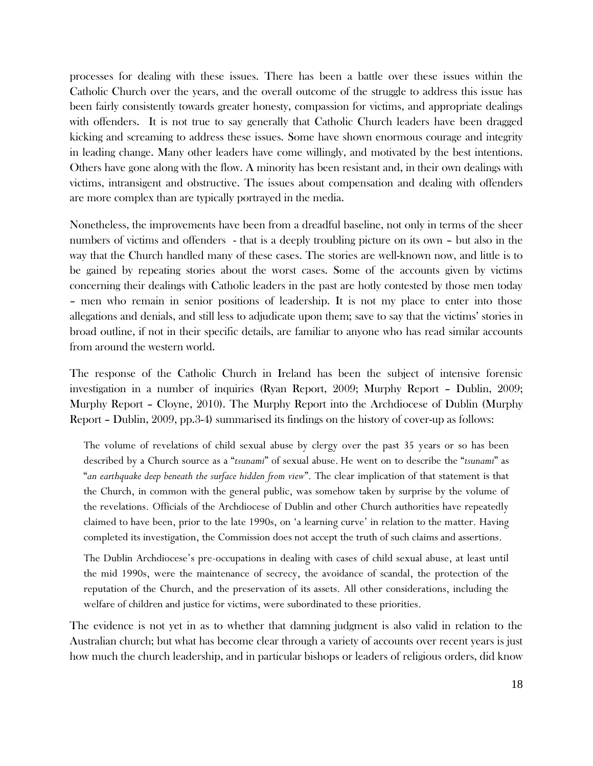processes for dealing with these issues. There has been a battle over these issues within the Catholic Church over the years, and the overall outcome of the struggle to address this issue has been fairly consistently towards greater honesty, compassion for victims, and appropriate dealings with offenders. It is not true to say generally that Catholic Church leaders have been dragged kicking and screaming to address these issues. Some have shown enormous courage and integrity in leading change. Many other leaders have come willingly, and motivated by the best intentions. Others have gone along with the flow. A minority has been resistant and, in their own dealings with victims, intransigent and obstructive. The issues about compensation and dealing with offenders are more complex than are typically portrayed in the media.

Nonetheless, the improvements have been from a dreadful baseline, not only in terms of the sheer numbers of victims and offenders - that is a deeply troubling picture on its own – but also in the way that the Church handled many of these cases. The stories are well-known now, and little is to be gained by repeating stories about the worst cases. Some of the accounts given by victims concerning their dealings with Catholic leaders in the past are hotly contested by those men today – men who remain in senior positions of leadership. It is not my place to enter into those allegations and denials, and still less to adjudicate upon them; save to say that the victims' stories in broad outline, if not in their specific details, are familiar to anyone who has read similar accounts from around the western world.

The response of the Catholic Church in Ireland has been the subject of intensive forensic investigation in a number of inquiries (Ryan Report, 2009; Murphy Report – Dublin, 2009; Murphy Report – Cloyne, 2010). The Murphy Report into the Archdiocese of Dublin (Murphy Report – Dublin, 2009, pp.3-4) summarised its findings on the history of cover-up as follows:

The volume of revelations of child sexual abuse by clergy over the past 35 years or so has been described by a Church source as a "*tsunami*" of sexual abuse. He went on to describe the "*tsunami*" as "*an earthquake deep beneath the surface hidden from view*". The clear implication of that statement is that the Church, in common with the general public, was somehow taken by surprise by the volume of the revelations. Officials of the Archdiocese of Dublin and other Church authorities have repeatedly claimed to have been, prior to the late 1990s, on 'a learning curve' in relation to the matter. Having completed its investigation, the Commission does not accept the truth of such claims and assertions.

The Dublin Archdiocese's pre-occupations in dealing with cases of child sexual abuse, at least until the mid 1990s, were the maintenance of secrecy, the avoidance of scandal, the protection of the reputation of the Church, and the preservation of its assets. All other considerations, including the welfare of children and justice for victims, were subordinated to these priorities.

The evidence is not yet in as to whether that damning judgment is also valid in relation to the Australian church; but what has become clear through a variety of accounts over recent years is just how much the church leadership, and in particular bishops or leaders of religious orders, did know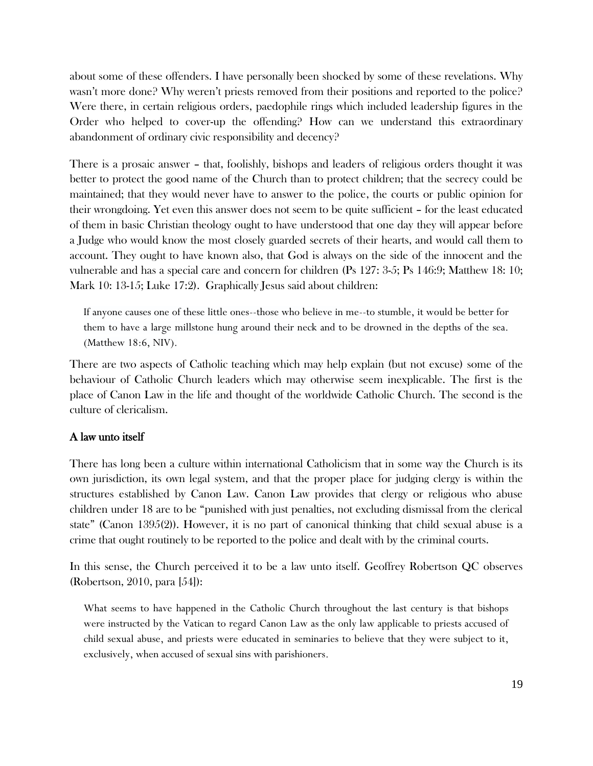about some of these offenders. I have personally been shocked by some of these revelations. Why wasn't more done? Why weren't priests removed from their positions and reported to the police? Were there, in certain religious orders, paedophile rings which included leadership figures in the Order who helped to cover-up the offending? How can we understand this extraordinary abandonment of ordinary civic responsibility and decency?

There is a prosaic answer – that, foolishly, bishops and leaders of religious orders thought it was better to protect the good name of the Church than to protect children; that the secrecy could be maintained; that they would never have to answer to the police, the courts or public opinion for their wrongdoing. Yet even this answer does not seem to be quite sufficient – for the least educated of them in basic Christian theology ought to have understood that one day they will appear before a Judge who would know the most closely guarded secrets of their hearts, and would call them to account. They ought to have known also, that God is always on the side of the innocent and the vulnerable and has a special care and concern for children (Ps 127: 3-5; Ps 146:9; Matthew 18: 10; Mark 10: 13-15; Luke 17:2). Graphically Jesus said about children:

If anyone causes one of these little ones--those who believe in me--to stumble, it would be better for them to have a large millstone hung around their neck and to be drowned in the depths of the sea. (Matthew 18:6, NIV).

There are two aspects of Catholic teaching which may help explain (but not excuse) some of the behaviour of Catholic Church leaders which may otherwise seem inexplicable. The first is the place of Canon Law in the life and thought of the worldwide Catholic Church. The second is the culture of clericalism.

#### A law unto itself

There has long been a culture within international Catholicism that in some way the Church is its own jurisdiction, its own legal system, and that the proper place for judging clergy is within the structures established by Canon Law. Canon Law provides that clergy or religious who abuse children under 18 are to be "punished with just penalties, not excluding dismissal from the clerical state" (Canon 1395(2)). However, it is no part of canonical thinking that child sexual abuse is a crime that ought routinely to be reported to the police and dealt with by the criminal courts.

In this sense, the Church perceived it to be a law unto itself. Geoffrey Robertson QC observes (Robertson, 2010, para [54]):

What seems to have happened in the Catholic Church throughout the last century is that bishops were instructed by the Vatican to regard Canon Law as the only law applicable to priests accused of child sexual abuse, and priests were educated in seminaries to believe that they were subject to it, exclusively, when accused of sexual sins with parishioners.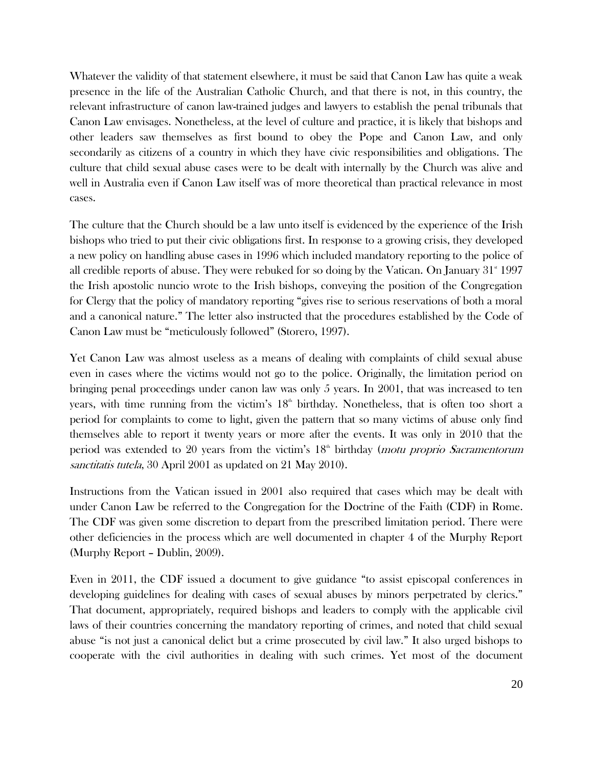Whatever the validity of that statement elsewhere, it must be said that Canon Law has quite a weak presence in the life of the Australian Catholic Church, and that there is not, in this country, the relevant infrastructure of canon law-trained judges and lawyers to establish the penal tribunals that Canon Law envisages. Nonetheless, at the level of culture and practice, it is likely that bishops and other leaders saw themselves as first bound to obey the Pope and Canon Law, and only secondarily as citizens of a country in which they have civic responsibilities and obligations. The culture that child sexual abuse cases were to be dealt with internally by the Church was alive and well in Australia even if Canon Law itself was of more theoretical than practical relevance in most cases.

The culture that the Church should be a law unto itself is evidenced by the experience of the Irish bishops who tried to put their civic obligations first. In response to a growing crisis, they developed a new policy on handling abuse cases in 1996 which included mandatory reporting to the police of all credible reports of abuse. They were rebuked for so doing by the Vatican. On January  $31^{\circ}$  1997 the Irish apostolic nuncio wrote to the Irish bishops, conveying the position of the Congregation for Clergy that the policy of mandatory reporting "gives rise to serious reservations of both a moral and a canonical nature." The letter also instructed that the procedures established by the Code of Canon Law must be "meticulously followed" (Storero, 1997).

Yet Canon Law was almost useless as a means of dealing with complaints of child sexual abuse even in cases where the victims would not go to the police. Originally, the limitation period on bringing penal proceedings under canon law was only 5 years. In 2001, that was increased to ten years, with time running from the victim's  $18<sup>th</sup>$  birthday. Nonetheless, that is often too short a period for complaints to come to light, given the pattern that so many victims of abuse only find themselves able to report it twenty years or more after the events. It was only in 2010 that the period was extended to 20 years from the victim's  $18<sup>th</sup>$  birthday (*motu proprio Sacramentorum* sanctitatis tutela, 30 April 2001 as updated on 21 May 2010).

Instructions from the Vatican issued in 2001 also required that cases which may be dealt with under Canon Law be referred to the Congregation for the Doctrine of the Faith (CDF) in Rome. The CDF was given some discretion to depart from the prescribed limitation period. There were other deficiencies in the process which are well documented in chapter 4 of the Murphy Report (Murphy Report – Dublin, 2009).

Even in 2011, the CDF issued a document to give guidance "to assist episcopal conferences in developing guidelines for dealing with cases of sexual abuses by minors perpetrated by clerics." That document, appropriately, required bishops and leaders to comply with the applicable civil laws of their countries concerning the mandatory reporting of crimes, and noted that child sexual abuse "is not just a canonical delict but a crime prosecuted by civil law." It also urged bishops to cooperate with the civil authorities in dealing with such crimes. Yet most of the document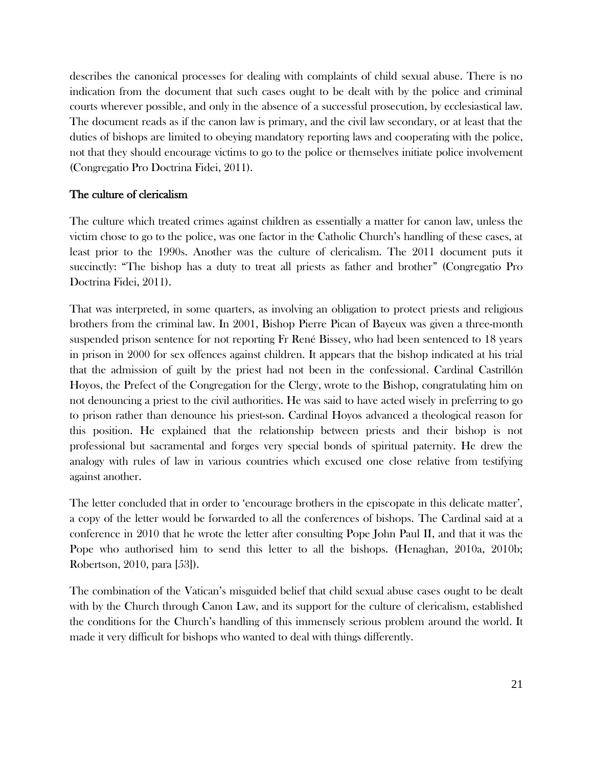describes the canonical processes for dealing with complaints of child sexual abuse. There is no indication from the document that such cases ought to be dealt with by the police and criminal courts wherever possible, and only in the absence of a successful prosecution, by ecclesiastical law. The document reads as if the canon law is primary, and the civil law secondary, or at least that the duties of bishops are limited to obeying mandatory reporting laws and cooperating with the police, not that they should encourage victims to go to the police or themselves initiate police involvement (Congregatio Pro Doctrina Fidei, 2011).

### The culture of clericalism

The culture which treated crimes against children as essentially a matter for canon law, unless the victim chose to go to the police, was one factor in the Catholic Church's handling of these cases, at least prior to the 1990s. Another was the culture of clericalism. The 2011 document puts it succinctly: "The bishop has a duty to treat all priests as father and brother" (Congregatio Pro Doctrina Fidei, 2011).

That was interpreted, in some quarters, as involving an obligation to protect priests and religious brothers from the criminal law. In 2001, Bishop Pierre Pican of Bayeux was given a three-month suspended prison sentence for not reporting Fr René Bissey, who had been sentenced to 18 years in prison in 2000 for sex offences against children. It appears that the bishop indicated at his trial that the admission of guilt by the priest had not been in the confessional. Cardinal Castrillón Hoyos, the [Prefect of the Congregation for the Clergy,](http://en.wikipedia.org/wiki/Congregation_for_the_Clergy) wrote to the Bishop, congratulating him on not denouncing a priest to the civil authorities. He was said to have acted wisely in preferring to go to prison rather than denounce his priest-son. Cardinal Hoyos advanced a theological reason for this position. He explained that the relationship between priests and their bishop is not professional but sacramental and forges very special bonds of spiritual paternity. He drew the analogy with rules of law in various countries which excused one close relative from testifying against another.

The letter concluded that in order to 'encourage brothers in the episcopate in this delicate matter', a copy of the letter would be forwarded to all the conferences of bishops. The Cardinal said at a conference in 2010 that he wrote the letter after consulting Pope John Paul II, and that it was the Pope who authorised him to send this letter to all the bishops. (Henaghan, 2010a, 2010b; Robertson, 2010, para [53]).

The combination of the Vatican's misguided belief that child sexual abuse cases ought to be dealt with by the Church through Canon Law, and its support for the culture of clericalism, established the conditions for the Church's handling of this immensely serious problem around the world. It made it very difficult for bishops who wanted to deal with things differently.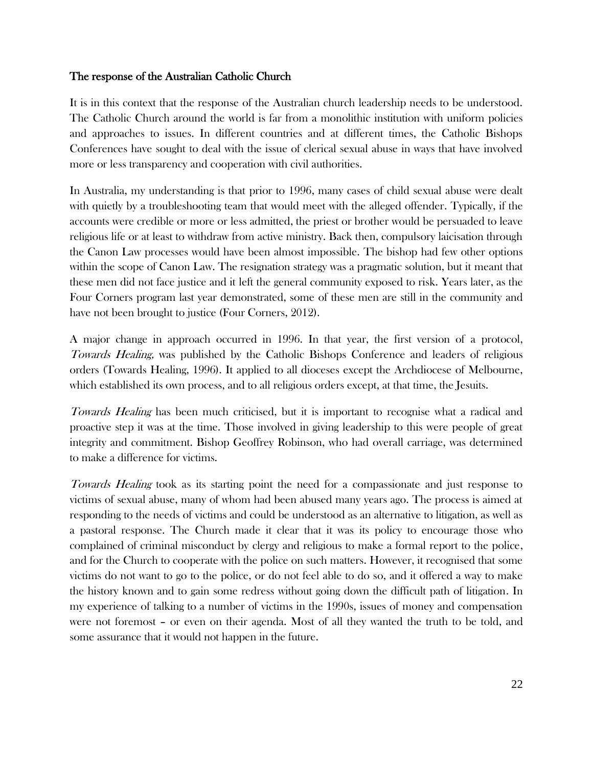## The response of the Australian Catholic Church

It is in this context that the response of the Australian church leadership needs to be understood. The Catholic Church around the world is far from a monolithic institution with uniform policies and approaches to issues. In different countries and at different times, the Catholic Bishops Conferences have sought to deal with the issue of clerical sexual abuse in ways that have involved more or less transparency and cooperation with civil authorities.

In Australia, my understanding is that prior to 1996, many cases of child sexual abuse were dealt with quietly by a troubleshooting team that would meet with the alleged offender. Typically, if the accounts were credible or more or less admitted, the priest or brother would be persuaded to leave religious life or at least to withdraw from active ministry. Back then, compulsory laicisation through the Canon Law processes would have been almost impossible. The bishop had few other options within the scope of Canon Law. The resignation strategy was a pragmatic solution, but it meant that these men did not face justice and it left the general community exposed to risk. Years later, as the Four Corners program last year demonstrated, some of these men are still in the community and have not been brought to justice (Four Corners, 2012).

A major change in approach occurred in 1996. In that year, the first version of a protocol, Towards Healing, was published by the Catholic Bishops Conference and leaders of religious orders (Towards Healing, 1996). It applied to all dioceses except the Archdiocese of Melbourne, which established its own process, and to all religious orders except, at that time, the Jesuits.

Towards Healing has been much criticised, but it is important to recognise what a radical and proactive step it was at the time. Those involved in giving leadership to this were people of great integrity and commitment. Bishop Geoffrey Robinson, who had overall carriage, was determined to make a difference for victims.

Towards Healing took as its starting point the need for a compassionate and just response to victims of sexual abuse, many of whom had been abused many years ago. The process is aimed at responding to the needs of victims and could be understood as an alternative to litigation, as well as a pastoral response. The Church made it clear that it was its policy to encourage those who complained of criminal misconduct by clergy and religious to make a formal report to the police, and for the Church to cooperate with the police on such matters. However, it recognised that some victims do not want to go to the police, or do not feel able to do so, and it offered a way to make the history known and to gain some redress without going down the difficult path of litigation. In my experience of talking to a number of victims in the 1990s, issues of money and compensation were not foremost – or even on their agenda. Most of all they wanted the truth to be told, and some assurance that it would not happen in the future.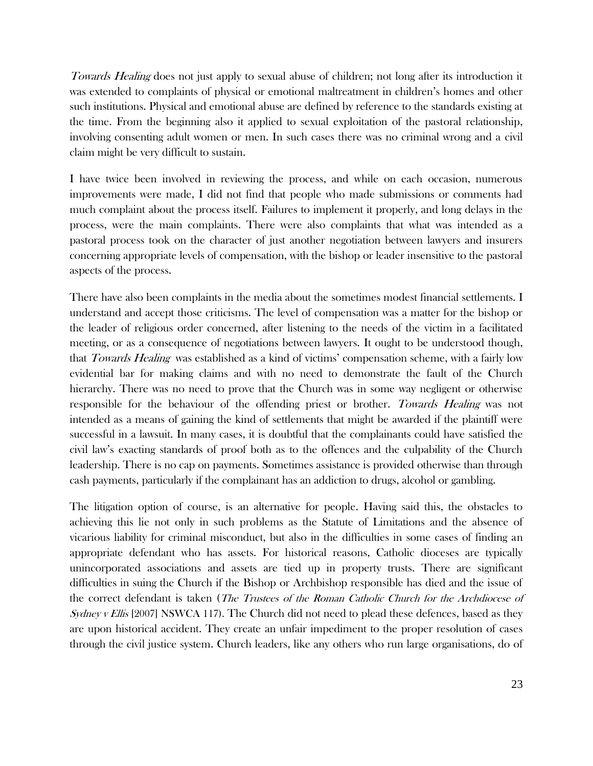Towards Healing does not just apply to sexual abuse of children; not long after its introduction it was extended to complaints of physical or emotional maltreatment in children's homes and other such institutions. Physical and emotional abuse are defined by reference to the standards existing at the time. From the beginning also it applied to sexual exploitation of the pastoral relationship, involving consenting adult women or men. In such cases there was no criminal wrong and a civil claim might be very difficult to sustain.

I have twice been involved in reviewing the process, and while on each occasion, numerous improvements were made, I did not find that people who made submissions or comments had much complaint about the process itself. Failures to implement it properly, and long delays in the process, were the main complaints. There were also complaints that what was intended as a pastoral process took on the character of just another negotiation between lawyers and insurers concerning appropriate levels of compensation, with the bishop or leader insensitive to the pastoral aspects of the process.

There have also been complaints in the media about the sometimes modest financial settlements. I understand and accept those criticisms. The level of compensation was a matter for the bishop or the leader of religious order concerned, after listening to the needs of the victim in a facilitated meeting, or as a consequence of negotiations between lawyers. It ought to be understood though, that *Towards Healing* was established as a kind of victims' compensation scheme, with a fairly low evidential bar for making claims and with no need to demonstrate the fault of the Church hierarchy. There was no need to prove that the Church was in some way negligent or otherwise responsible for the behaviour of the offending priest or brother. Towards Healing was not intended as a means of gaining the kind of settlements that might be awarded if the plaintiff were successful in a lawsuit. In many cases, it is doubtful that the complainants could have satisfied the civil law's exacting standards of proof both as to the offences and the culpability of the Church leadership. There is no cap on payments. Sometimes assistance is provided otherwise than through cash payments, particularly if the complainant has an addiction to drugs, alcohol or gambling.

The litigation option of course, is an alternative for people. Having said this, the obstacles to achieving this lie not only in such problems as the Statute of Limitations and the absence of vicarious liability for criminal misconduct, but also in the difficulties in some cases of finding an appropriate defendant who has assets. For historical reasons, Catholic dioceses are typically unincorporated associations and assets are tied up in property trusts. There are significant difficulties in suing the Church if the Bishop or Archbishop responsible has died and the issue of the correct defendant is taken (The Trustees of the Roman Catholic Church for the Archdiocese of Sydney v Ellis [2007] NSWCA 117). The Church did not need to plead these defences, based as they are upon historical accident. They create an unfair impediment to the proper resolution of cases through the civil justice system. Church leaders, like any others who run large organisations, do of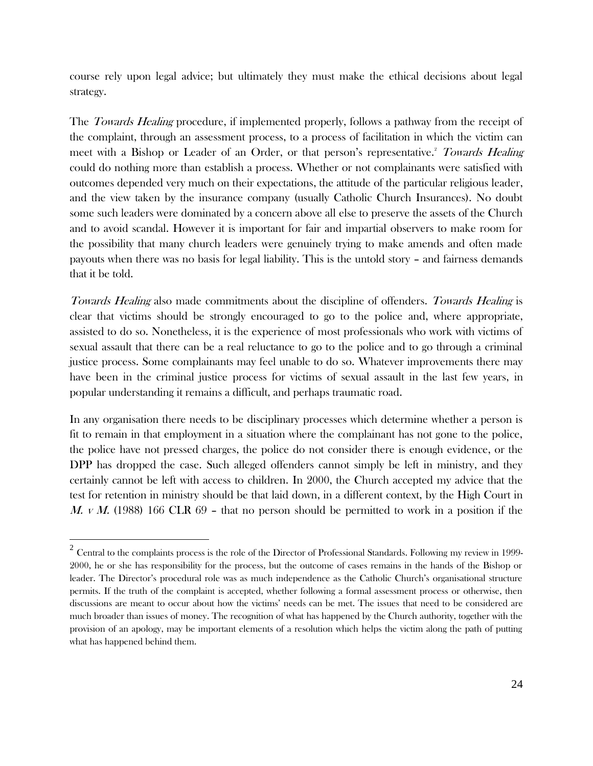course rely upon legal advice; but ultimately they must make the ethical decisions about legal strategy.

The *Towards Healing* procedure, if implemented properly, follows a pathway from the receipt of the complaint, through an assessment process, to a process of facilitation in which the victim can meet with a Bishop or Leader of an Order, or that person's representative.<sup>2</sup> Towards Healing could do nothing more than establish a process. Whether or not complainants were satisfied with outcomes depended very much on their expectations, the attitude of the particular religious leader, and the view taken by the insurance company (usually Catholic Church Insurances). No doubt some such leaders were dominated by a concern above all else to preserve the assets of the Church and to avoid scandal. However it is important for fair and impartial observers to make room for the possibility that many church leaders were genuinely trying to make amends and often made payouts when there was no basis for legal liability. This is the untold story – and fairness demands that it be told.

Towards Healing also made commitments about the discipline of offenders. Towards Healing is clear that victims should be strongly encouraged to go to the police and, where appropriate, assisted to do so. Nonetheless, it is the experience of most professionals who work with victims of sexual assault that there can be a real reluctance to go to the police and to go through a criminal justice process. Some complainants may feel unable to do so. Whatever improvements there may have been in the criminal justice process for victims of sexual assault in the last few years, in popular understanding it remains a difficult, and perhaps traumatic road.

In any organisation there needs to be disciplinary processes which determine whether a person is fit to remain in that employment in a situation where the complainant has not gone to the police, the police have not pressed charges, the police do not consider there is enough evidence, or the DPP has dropped the case. Such alleged offenders cannot simply be left in ministry, and they certainly cannot be left with access to children. In 2000, the Church accepted my advice that the test for retention in ministry should be that laid down, in a different context, by the High Court in M. v M.  $(1988)$  166 CLR 69 – that no person should be permitted to work in a position if the

 $\overline{a}$ 

 $^2$  Central to the complaints process is the role of the Director of Professional Standards. Following my review in 1999-2000, he or she has responsibility for the process, but the outcome of cases remains in the hands of the Bishop or leader. The Director's procedural role was as much independence as the Catholic Church's organisational structure permits. If the truth of the complaint is accepted, whether following a formal assessment process or otherwise, then discussions are meant to occur about how the victims' needs can be met. The issues that need to be considered are much broader than issues of money. The recognition of what has happened by the Church authority, together with the provision of an apology, may be important elements of a resolution which helps the victim along the path of putting what has happened behind them.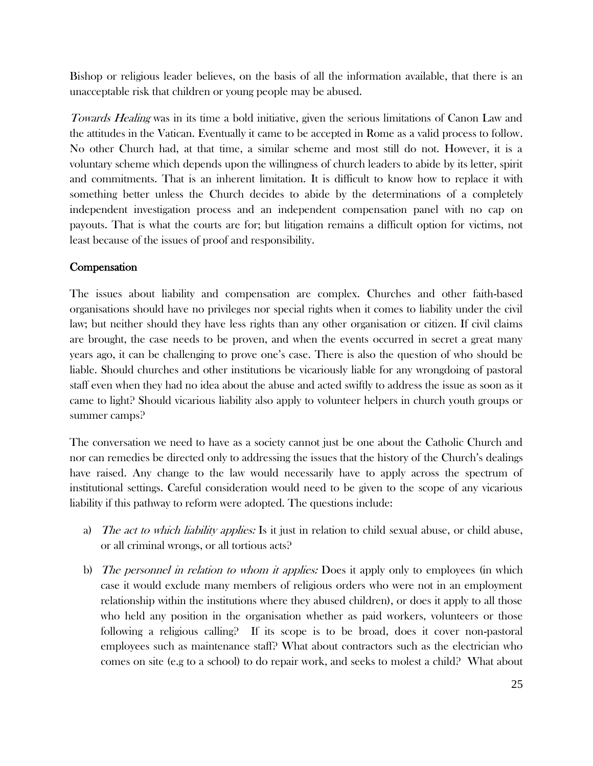Bishop or religious leader believes, on the basis of all the information available, that there is an unacceptable risk that children or young people may be abused.

Towards Healing was in its time a bold initiative, given the serious limitations of Canon Law and the attitudes in the Vatican. Eventually it came to be accepted in Rome as a valid process to follow. No other Church had, at that time, a similar scheme and most still do not. However, it is a voluntary scheme which depends upon the willingness of church leaders to abide by its letter, spirit and commitments. That is an inherent limitation. It is difficult to know how to replace it with something better unless the Church decides to abide by the determinations of a completely independent investigation process and an independent compensation panel with no cap on payouts. That is what the courts are for; but litigation remains a difficult option for victims, not least because of the issues of proof and responsibility.

## **Compensation**

The issues about liability and compensation are complex. Churches and other faith-based organisations should have no privileges nor special rights when it comes to liability under the civil law; but neither should they have less rights than any other organisation or citizen. If civil claims are brought, the case needs to be proven, and when the events occurred in secret a great many years ago, it can be challenging to prove one's case. There is also the question of who should be liable. Should churches and other institutions be vicariously liable for any wrongdoing of pastoral staff even when they had no idea about the abuse and acted swiftly to address the issue as soon as it came to light? Should vicarious liability also apply to volunteer helpers in church youth groups or summer camps?

The conversation we need to have as a society cannot just be one about the Catholic Church and nor can remedies be directed only to addressing the issues that the history of the Church's dealings have raised. Any change to the law would necessarily have to apply across the spectrum of institutional settings. Careful consideration would need to be given to the scope of any vicarious liability if this pathway to reform were adopted. The questions include:

- a) The act to which liability applies: Is it just in relation to child sexual abuse, or child abuse, or all criminal wrongs, or all tortious acts?
- b) The personnel in relation to whom it applies: Does it apply only to employees (in which case it would exclude many members of religious orders who were not in an employment relationship within the institutions where they abused children), or does it apply to all those who held any position in the organisation whether as paid workers, volunteers or those following a religious calling? If its scope is to be broad, does it cover non-pastoral employees such as maintenance staff? What about contractors such as the electrician who comes on site (e.g to a school) to do repair work, and seeks to molest a child? What about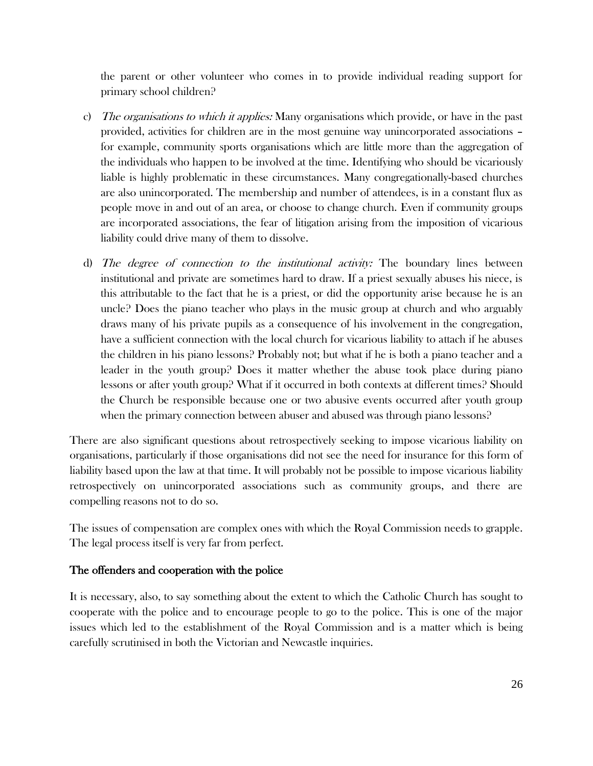the parent or other volunteer who comes in to provide individual reading support for primary school children?

- c) The organisations to which it applies: Many organisations which provide, or have in the past provided, activities for children are in the most genuine way unincorporated associations – for example, community sports organisations which are little more than the aggregation of the individuals who happen to be involved at the time. Identifying who should be vicariously liable is highly problematic in these circumstances. Many congregationally-based churches are also unincorporated. The membership and number of attendees, is in a constant flux as people move in and out of an area, or choose to change church. Even if community groups are incorporated associations, the fear of litigation arising from the imposition of vicarious liability could drive many of them to dissolve.
- d) The degree of connection to the institutional activity: The boundary lines between institutional and private are sometimes hard to draw. If a priest sexually abuses his niece, is this attributable to the fact that he is a priest, or did the opportunity arise because he is an uncle? Does the piano teacher who plays in the music group at church and who arguably draws many of his private pupils as a consequence of his involvement in the congregation, have a sufficient connection with the local church for vicarious liability to attach if he abuses the children in his piano lessons? Probably not; but what if he is both a piano teacher and a leader in the youth group? Does it matter whether the abuse took place during piano lessons or after youth group? What if it occurred in both contexts at different times? Should the Church be responsible because one or two abusive events occurred after youth group when the primary connection between abuser and abused was through piano lessons?

There are also significant questions about retrospectively seeking to impose vicarious liability on organisations, particularly if those organisations did not see the need for insurance for this form of liability based upon the law at that time. It will probably not be possible to impose vicarious liability retrospectively on unincorporated associations such as community groups, and there are compelling reasons not to do so.

The issues of compensation are complex ones with which the Royal Commission needs to grapple. The legal process itself is very far from perfect.

## The offenders and cooperation with the police

It is necessary, also, to say something about the extent to which the Catholic Church has sought to cooperate with the police and to encourage people to go to the police. This is one of the major issues which led to the establishment of the Royal Commission and is a matter which is being carefully scrutinised in both the Victorian and Newcastle inquiries.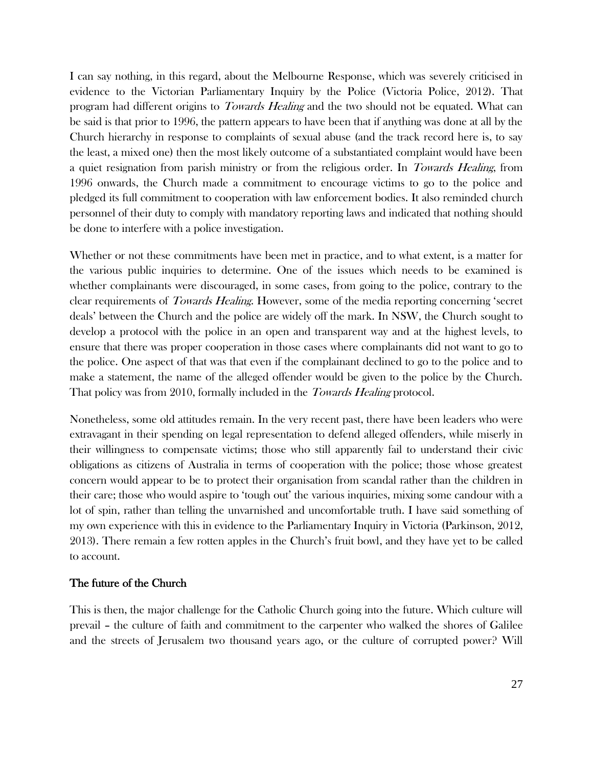I can say nothing, in this regard, about the Melbourne Response, which was severely criticised in evidence to the Victorian Parliamentary Inquiry by the Police (Victoria Police, 2012). That program had different origins to *Towards Healing* and the two should not be equated. What can be said is that prior to 1996, the pattern appears to have been that if anything was done at all by the Church hierarchy in response to complaints of sexual abuse (and the track record here is, to say the least, a mixed one) then the most likely outcome of a substantiated complaint would have been a quiet resignation from parish ministry or from the religious order. In Towards Healing, from 1996 onwards, the Church made a commitment to encourage victims to go to the police and pledged its full commitment to cooperation with law enforcement bodies. It also reminded church personnel of their duty to comply with mandatory reporting laws and indicated that nothing should be done to interfere with a police investigation.

Whether or not these commitments have been met in practice, and to what extent, is a matter for the various public inquiries to determine. One of the issues which needs to be examined is whether complainants were discouraged, in some cases, from going to the police, contrary to the clear requirements of *Towards Healing*. However, some of the media reporting concerning 'secret deals' between the Church and the police are widely off the mark. In NSW, the Church sought to develop a protocol with the police in an open and transparent way and at the highest levels, to ensure that there was proper cooperation in those cases where complainants did not want to go to the police. One aspect of that was that even if the complainant declined to go to the police and to make a statement, the name of the alleged offender would be given to the police by the Church. That policy was from 2010, formally included in the *Towards Healing* protocol.

Nonetheless, some old attitudes remain. In the very recent past, there have been leaders who were extravagant in their spending on legal representation to defend alleged offenders, while miserly in their willingness to compensate victims; those who still apparently fail to understand their civic obligations as citizens of Australia in terms of cooperation with the police; those whose greatest concern would appear to be to protect their organisation from scandal rather than the children in their care; those who would aspire to 'tough out' the various inquiries, mixing some candour with a lot of spin, rather than telling the unvarnished and uncomfortable truth. I have said something of my own experience with this in evidence to the Parliamentary Inquiry in Victoria (Parkinson, 2012, 2013). There remain a few rotten apples in the Church's fruit bowl, and they have yet to be called to account.

## The future of the Church

This is then, the major challenge for the Catholic Church going into the future. Which culture will prevail – the culture of faith and commitment to the carpenter who walked the shores of Galilee and the streets of Jerusalem two thousand years ago, or the culture of corrupted power? Will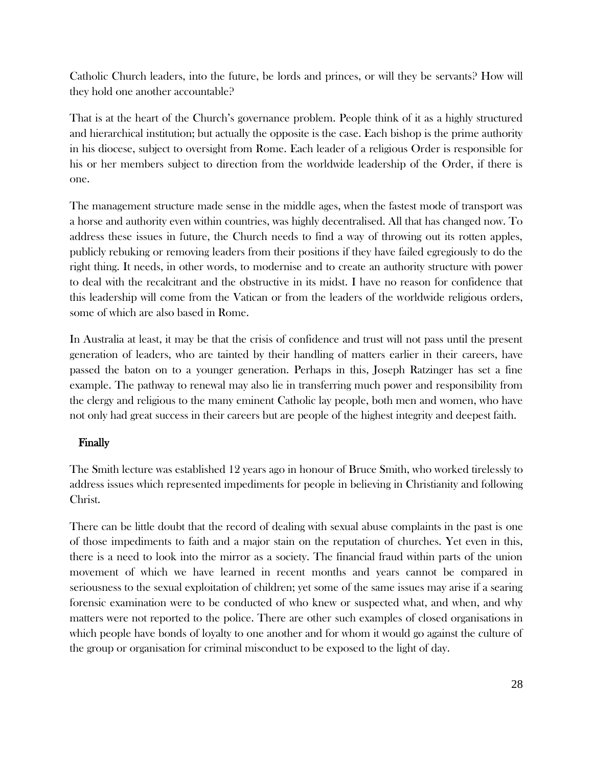Catholic Church leaders, into the future, be lords and princes, or will they be servants? How will they hold one another accountable?

That is at the heart of the Church's governance problem. People think of it as a highly structured and hierarchical institution; but actually the opposite is the case. Each bishop is the prime authority in his diocese, subject to oversight from Rome. Each leader of a religious Order is responsible for his or her members subject to direction from the worldwide leadership of the Order, if there is one.

The management structure made sense in the middle ages, when the fastest mode of transport was a horse and authority even within countries, was highly decentralised. All that has changed now. To address these issues in future, the Church needs to find a way of throwing out its rotten apples, publicly rebuking or removing leaders from their positions if they have failed egregiously to do the right thing. It needs, in other words, to modernise and to create an authority structure with power to deal with the recalcitrant and the obstructive in its midst. I have no reason for confidence that this leadership will come from the Vatican or from the leaders of the worldwide religious orders, some of which are also based in Rome.

In Australia at least, it may be that the crisis of confidence and trust will not pass until the present generation of leaders, who are tainted by their handling of matters earlier in their careers, have passed the baton on to a younger generation. Perhaps in this, Joseph Ratzinger has set a fine example. The pathway to renewal may also lie in transferring much power and responsibility from the clergy and religious to the many eminent Catholic lay people, both men and women, who have not only had great success in their careers but are people of the highest integrity and deepest faith.

## Finally

The Smith lecture was established 12 years ago in honour of Bruce Smith, who worked tirelessly to address issues which represented impediments for people in believing in Christianity and following Christ.

There can be little doubt that the record of dealing with sexual abuse complaints in the past is one of those impediments to faith and a major stain on the reputation of churches. Yet even in this, there is a need to look into the mirror as a society. The financial fraud within parts of the union movement of which we have learned in recent months and years cannot be compared in seriousness to the sexual exploitation of children; yet some of the same issues may arise if a searing forensic examination were to be conducted of who knew or suspected what, and when, and why matters were not reported to the police. There are other such examples of closed organisations in which people have bonds of loyalty to one another and for whom it would go against the culture of the group or organisation for criminal misconduct to be exposed to the light of day.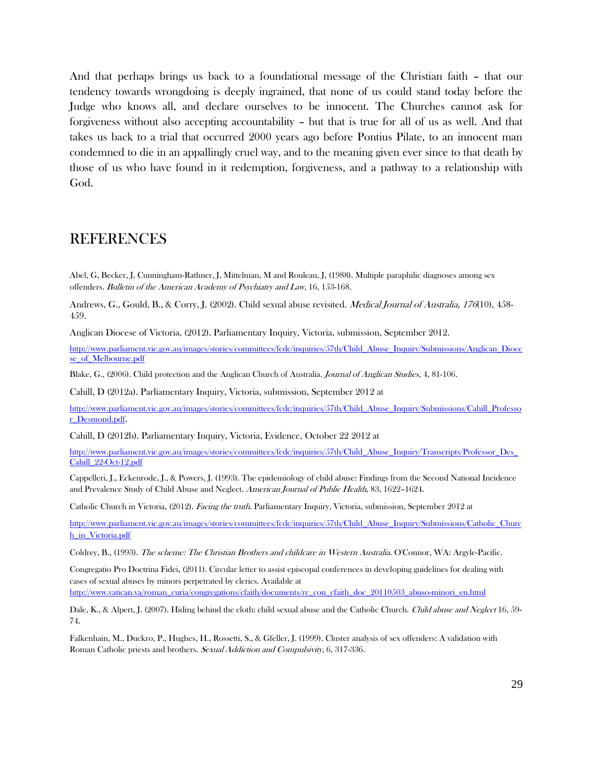And that perhaps brings us back to a foundational message of the Christian faith – that our tendency towards wrongdoing is deeply ingrained, that none of us could stand today before the Judge who knows all, and declare ourselves to be innocent. The Churches cannot ask for forgiveness without also accepting accountability – but that is true for all of us as well. And that takes us back to a trial that occurred 2000 years ago before Pontius Pilate, to an innocent man condemned to die in an appallingly cruel way, and to the meaning given ever since to that death by those of us who have found in it redemption, forgiveness, and a pathway to a relationship with God.

## REFERENCES

Abel, G, Becker, J, Cunningham-Rathner, J, Mittelman, M and Rouleau, J, (1988). Multiple paraphilic diagnoses among sex offenders. Bulletin of the American Academy of Psychiatry and Law, 16, 153-168.

Andrews, G., Gould, B., & Corry, J. (2002). Child sexual abuse revisited. *Medical Journal of Australia, 176*(10), 458-459.

Anglican Diocese of Victoria, (2012). Parliamentary Inquiry, Victoria, submission, September 2012.

[http://www.parliament.vic.gov.au/images/stories/committees/fcdc/inquiries/57th/Child\\_Abuse\\_Inquiry/Submissions/Anglican\\_Dioce](http://www.parliament.vic.gov.au/images/stories/committees/fcdc/inquiries/57th/Child_Abuse_Inquiry/Submissions/Anglican_Diocese_of_Melbourne.pdf) [se\\_of\\_Melbourne.pdf](http://www.parliament.vic.gov.au/images/stories/committees/fcdc/inquiries/57th/Child_Abuse_Inquiry/Submissions/Anglican_Diocese_of_Melbourne.pdf)

Blake, G., (2006). Child protection and the Anglican Church of Australia. Journal of Anglican Studies, 4, 81-106.

Cahill, D (2012a). Parliamentary Inquiry, Victoria, submission, September 2012 at

[http://www.parliament.vic.gov.au/images/stories/committees/fcdc/inquiries/57th/Child\\_Abuse\\_Inquiry/Submissions/Cahill\\_Professo](http://www.parliament.vic.gov.au/images/stories/committees/fcdc/inquiries/57th/Child_Abuse_Inquiry/Submissions/Cahill_Professor_Desmond.pdf) [r\\_Desmond.pdf](http://www.parliament.vic.gov.au/images/stories/committees/fcdc/inquiries/57th/Child_Abuse_Inquiry/Submissions/Cahill_Professor_Desmond.pdf).

Cahill, D (2012b). Parliamentary Inquiry, Victoria, Evidence, October 22 2012 at

[http://www.parliament.vic.gov.au/images/stories/committees/fcdc/inquiries/57th/Child\\_Abuse\\_Inquiry/Transcripts/Professor\\_Des\\_](http://www.parliament.vic.gov.au/images/stories/committees/fcdc/inquiries/57th/Child_Abuse_Inquiry/Transcripts/Professor_Des_Cahill_22-Oct-12.pdf) [Cahill\\_22-Oct-12.pdf](http://www.parliament.vic.gov.au/images/stories/committees/fcdc/inquiries/57th/Child_Abuse_Inquiry/Transcripts/Professor_Des_Cahill_22-Oct-12.pdf)

[Cappelleri,](http://www.sciencedirect.com.ezproxy2.library.usyd.edu.au/science?_ob=ArticleURL&_udi=B6WSJ-422GK2J-7S&_user=115085&_coverDate=12%2F31%2F1999&_alid=848018858&_rdoc=60&_orig=mlkt&_cdi=7048&_sort=v&_st=17&_docanchor=&view=c&_ct=8382&_acct=C000008818&_version=1&_urlVersion=0&_userid=115085&_fmt=full&md5=87c132dc45a61cdf42646687540ad143#bbibccp155.17) J., Eckenrode, J., & Powers, J. (1993). The epidemiology of child abuse: Findings from the Second National Incidence and Prevalence Study of Child Abuse and Neglect. American Journal of Public Health, 83, 1622–1624.

Catholic Church in Victoria, (2012). Facing the truth. Parliamentary Inquiry, Victoria, submission, September 2012 at

[http://www.parliament.vic.gov.au/images/stories/committees/fcdc/inquiries/57th/Child\\_Abuse\\_Inquiry/Submissions/Catholic\\_Churc](http://www.parliament.vic.gov.au/images/stories/committees/fcdc/inquiries/57th/Child_Abuse_Inquiry/Submissions/Catholic_Church_in_Victoria.pdf) [h\\_in\\_Victoria.pdf](http://www.parliament.vic.gov.au/images/stories/committees/fcdc/inquiries/57th/Child_Abuse_Inquiry/Submissions/Catholic_Church_in_Victoria.pdf)

Coldrey, B., (1993). The scheme: The Christian Brothers and childcare in Western Australia. O'Connor, WA: Argyle-Pacific.

Congregatio Pro Doctrina Fidei, (2011). Circular letter to assist episcopal conferences in developing guidelines for dealing with cases of sexual abuses by minors perpetrated by clerics. Available at [http://www.vatican.va/roman\\_curia/congregations/cfaith/documents/rc\\_con\\_cfaith\\_doc\\_20110503\\_abuso-minori\\_en.html](http://www.vatican.va/roman_curia/congregations/cfaith/documents/rc_con_cfaith_doc_20110503_abuso-minori_en.html)

Dale, K., & Alpert, J. (2007). Hiding behind the cloth: child sexual abuse and the Catholic Church. *Child abuse and Neglect* 16, 59-74.

Falkenhain, M., Duckro, P., Hughes, H., Rossetti, S., & Gfeller, J. (1999). Cluster analysis of sex offenders: A validation with Roman Catholic priests and brothers. Sexual Addiction and Compulsivity, 6, 317-336.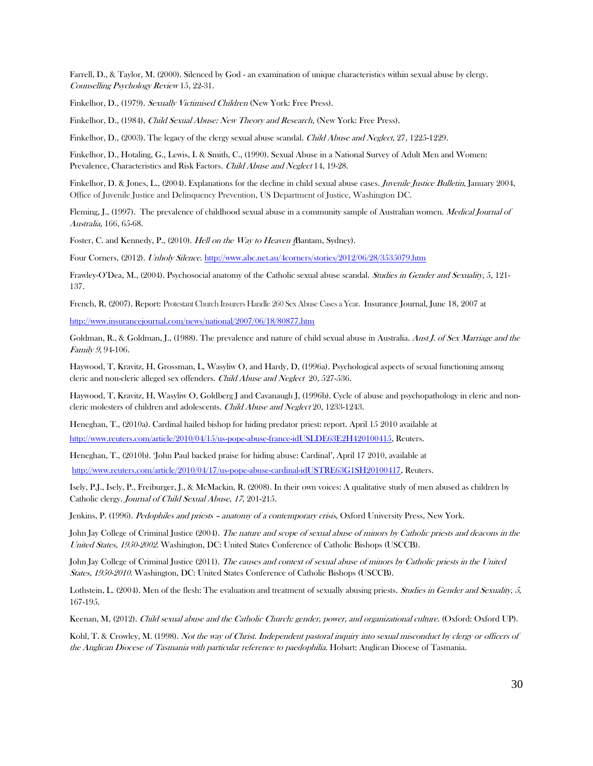Farrell, D., & Taylor, M. (2000). Silenced by God - an examination of unique characteristics within sexual abuse by clergy. Counselling Psychology Review 15, 22-31.

Finkelhor, D., (1979). Sexually Victimised Children (New York: Free Press).

Finkelhor, D., (1984), Child Sexual Abuse: New Theory and Research, (New York: Free Press).

Finkelhor, D., (2003). The legacy of the clergy sexual abuse scandal. *Child Abuse and Neglect*, 27, 1225-1229.

Finkelhor, D., Hotaling, G., Lewis, I. & Smith, C., (1990). Sexual Abuse in a National Survey of Adult Men and Women: Prevalence, Characteristics and Risk Factors. Child Abuse and Neglect 14, 19-28.

Finkelhor, D. & Jones, L., (2004). Explanations for the decline in child sexual abuse cases. *Juvenile Justice Bulletin*, January 2004, Office of Juvenile Justice and Delinquency Prevention, US Department of Justice, Washington DC.

Fleming, J., (1997). The prevalence of childhood sexual abuse in a community sample of Australian women. *Medical Journal of* Australia, 166, 65-68.

Foster, C. and Kennedy, P., (2010). Hell on the Way to Heaven (Bantam, Sydney).

Four Corners, (2012). Unholy Silence[. http://www.abc.net.au/4corners/stories/2012/06/28/3535079.htm](http://www.abc.net.au/4corners/stories/2012/06/28/3535079.htm)

Frawley-O'Dea, M., (2004). Psychosocial anatomy of the Catholic sexual abuse scandal. Studies in Gender and Sexuality, 5, 121-137.

French, R, (2007). Report: Protestant Church Insurers Handle 260 Sex Abuse Cases a Year. Insurance Journal, June 18, 2007 at

<http://www.insurancejournal.com/news/national/2007/06/18/80877.htm>

Goldman, R., & Goldman, J., (1988). The prevalence and nature of child sexual abuse in Australia. Aust J. of Sex Marriage and the Family 9, 94-106.

Haywood, T, Kravitz, H, Grossman, L, Wasyliw O, and Hardy, D, (1996a). Psychological aspects of sexual functioning among cleric and non-cleric alleged sex offenders. Child Abuse and Neglect 20, 527-536.

Haywood, T, Kravitz, H, Wasyliw O, Goldberg J and Cavanaugh J, (1996b). Cycle of abuse and psychopathology in cleric and noncleric molesters of children and adolescents. Child Abuse and Neglect 20, 1233-1243.

Heneghan, T., (2010a). Cardinal hailed bishop for hiding predator priest: report. April 15 2010 available at [http://www.reuters.com/article/2010/04/15/us-pope-abuse-france-idUSLDE63E2H420100415,](http://www.reuters.com/article/2010/04/15/us-pope-abuse-france-idUSLDE63E2H420100415) Reuters.

Heneghan, T., (2010b). 'John Paul backed praise for hiding abuse: Cardinal', April 17 2010, available at [http://www.reuters.com/article/2010/04/17/us-pope-abuse-cardinal-idUSTRE63G1SH20100417,](http://www.reuters.com/article/2010/04/17/us-pope-abuse-cardinal-idUSTRE63G1SH20100417) Reuters.

Isely, P.J., Isely, P., Freiburger, J., & McMackin, R. (2008). In their own voices: A qualitative study of men abused as children by Catholic clergy. Journal of Child Sexual Abuse, 17, 201-215.

Jenkins, P. (1996). Pedophiles and priests - anatomy of a contemporary crisis, Oxford University Press, New York.

John Jay College of Criminal Justice (2004). The nature and scope of sexual abuse of minors by Catholic priests and deacons in the United States, 1950-2002. Washington, DC: United States Conference of Catholic Bishops (USCCB).

John Jay College of Criminal Justice (2011). The causes and context of sexual abuse of minors by Catholic priests in the United States, 1950-2010. Washington, DC: United States Conference of Catholic Bishops (USCCB).

Lothstein, L. (2004). Men of the flesh: The evaluation and treatment of sexually abusing priests. Studies in Gender and Sexuality, 5, 167-195.

Keenan, M, (2012). Child sexual abuse and the Catholic Church: gender, power, and organizational culture. (Oxford: Oxford UP).

Kohl, T. & Crowley, M. (1998). Not the way of Christ. Independent pastoral inquiry into sexual misconduct by clergy or officers of the Anglican Diocese of Tasmania with particular reference to paedophilia. Hobart: Anglican Diocese of Tasmania.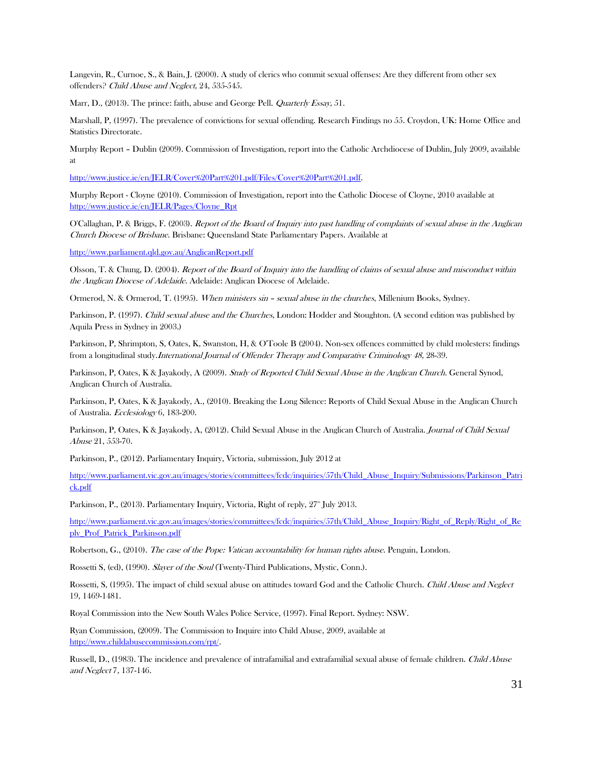Langevin, R., Curnoe, S., & Bain, J. (2000). A study of clerics who commit sexual offenses: Are they different from other sex offenders? Child Abuse and Neglect, 24, 535-545.

Marr, D., (2013). The prince: faith, abuse and George Pell. *Quarterly Essay*, 51.

Marshall, P, (1997). The prevalence of convictions for sexual offending. Research Findings no 55. Croydon, UK: Home Office and Statistics Directorate.

Murphy Report – Dublin (2009). Commission of Investigation, report into the Catholic Archdiocese of Dublin, July 2009, available at

[http://www.justice.ie/en/JELR/Cover%20Part%201.pdf/Files/Cover%20Part%201.pdf.](http://www.justice.ie/en/JELR/Cover%20Part%201.pdf/Files/Cover%20Part%201.pdf)

Murphy Report - Cloyne (2010). Commission of Investigation, report into the Catholic Diocese of Cloyne, 2010 available at [http://www.justice.ie/en/JELR/Pages/Cloyne\\_Rpt](http://www.justice.ie/en/JELR/Pages/Cloyne_Rpt)

O'Callaghan, P. & Briggs, F. (2003). Report of the Board of Inquiry into past handling of complaints of sexual abuse in the Anglican Church Diocese of Brisbane. Brisbane: Queensland State Parliamentary Papers. Available at

<http://www.parliament.qld.gov.au/AnglicanReport.pdf>

Olsson, T. & Chung, D. (2004). Report of the Board of Inquiry into the handling of claims of sexual abuse and misconduct within the Anglican Diocese of Adelaide. Adelaide: Anglican Diocese of Adelaide.

Ormerod, N. & Ormerod, T. (1995). When ministers sin – sexual abuse in the churches, Millenium Books, Sydney.

Parkinson, P. (1997). Child sexual abuse and the Churches, London: Hodder and Stoughton. (A second edition was published by Aquila Press in Sydney in 2003.)

Parkinson, P, Shrimpton, S, Oates, K, Swanston, H, & O'Toole B (2004). Non-sex offences committed by child molesters: findings from a longitudinal study.International Journal of Offender Therapy and Comparative Criminology 48, 28-39.

Parkinson, P, Oates, K & Jayakody, A (2009). Study of Reported Child Sexual Abuse in the Anglican Church. General Synod, Anglican Church of Australia.

Parkinson, P, Oates, K & Jayakody, A., (2010). Breaking the Long Silence: Reports of Child Sexual Abuse in the Anglican Church of Australia. Ecclesiology 6, 183-200.

Parkinson, P, Oates, K & Jayakody, A, (2012). Child Sexual Abuse in the Anglican Church of Australia. Journal of Child Sexual Abuse 21, 553-70.

Parkinson, P., (2012). Parliamentary Inquiry, Victoria, submission, July 2012 at

[http://www.parliament.vic.gov.au/images/stories/committees/fcdc/inquiries/57th/Child\\_Abuse\\_Inquiry/Submissions/Parkinson\\_Patri](http://www.parliament.vic.gov.au/images/stories/committees/fcdc/inquiries/57th/Child_Abuse_Inquiry/Submissions/Parkinson_Patrick.pdf) [ck.pdf](http://www.parliament.vic.gov.au/images/stories/committees/fcdc/inquiries/57th/Child_Abuse_Inquiry/Submissions/Parkinson_Patrick.pdf)

Parkinson, P., (2013). Parliamentary Inquiry, Victoria, Right of reply, 27<sup>th</sup> July 2013.

[http://www.parliament.vic.gov.au/images/stories/committees/fcdc/inquiries/57th/Child\\_Abuse\\_Inquiry/Right\\_of\\_Reply/Right\\_of\\_Re](http://www.parliament.vic.gov.au/images/stories/committees/fcdc/inquiries/57th/Child_Abuse_Inquiry/Right_of_Reply/Right_of_Reply_Prof_Patrick_Parkinson.pdf) [ply\\_Prof\\_Patrick\\_Parkinson.pdf](http://www.parliament.vic.gov.au/images/stories/committees/fcdc/inquiries/57th/Child_Abuse_Inquiry/Right_of_Reply/Right_of_Reply_Prof_Patrick_Parkinson.pdf)

Robertson, G., (2010). The case of the Pope: Vatican accountability for human rights abuse. Penguin, London.

Rossetti S, (ed), (1990). Slayer of the Soul (Twenty-Third Publications, Mystic, Conn.).

Rossetti, S, (1995). The impact of child sexual abuse on attitudes toward God and the Catholic Church. Child Abuse and Neglect 19, 1469-1481.

Royal Commission into the New South Wales Police Service, (1997). Final Report. Sydney: NSW.

Ryan Commission, (2009). The Commission to Inquire into Child Abuse, 2009, available at [http://www.childabusecommission.com/rpt/.](http://www.childabusecommission.com/rpt/)

Russell, D., (1983). The incidence and prevalence of intrafamilial and extrafamilial sexual abuse of female children. Child Abuse and Neglect 7, 137-146.